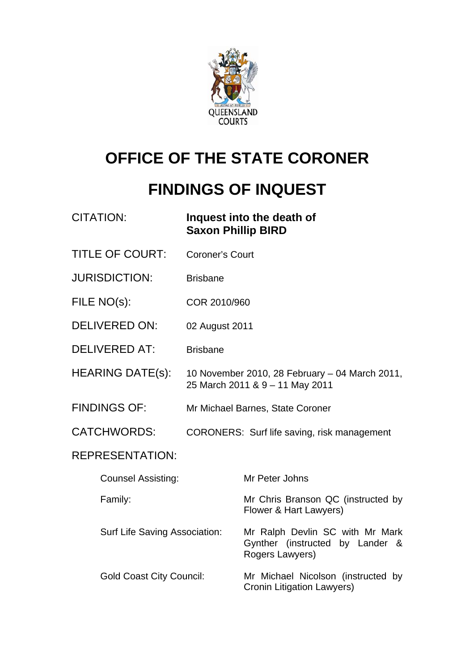

# **OFFICE OF THE STATE CORONER**

# **FINDINGS OF INQUEST**

| <b>CITATION:</b>                | <b>Saxon Phillip BIRD</b> | Inquest into the death of                                                             |
|---------------------------------|---------------------------|---------------------------------------------------------------------------------------|
| <b>TITLE OF COURT:</b>          | <b>Coroner's Court</b>    |                                                                                       |
| <b>JURISDICTION:</b>            | <b>Brisbane</b>           |                                                                                       |
| FILE NO(s):                     | COR 2010/960              |                                                                                       |
| <b>DELIVERED ON:</b>            | 02 August 2011            |                                                                                       |
| <b>DELIVERED AT:</b>            | <b>Brisbane</b>           |                                                                                       |
| <b>HEARING DATE(s):</b>         |                           | 10 November 2010, 28 February - 04 March 2011,<br>25 March 2011 & 9 - 11 May 2011     |
| <b>FINDINGS OF:</b>             |                           | Mr Michael Barnes, State Coroner                                                      |
| <b>CATCHWORDS:</b>              |                           | CORONERS: Surf life saving, risk management                                           |
| <b>REPRESENTATION:</b>          |                           |                                                                                       |
| <b>Counsel Assisting:</b>       |                           | Mr Peter Johns                                                                        |
| Family:                         |                           | Mr Chris Branson QC (instructed by<br>Flower & Hart Lawyers)                          |
| Surf Life Saving Association:   |                           | Mr Ralph Devlin SC with Mr Mark<br>Gynther (instructed by Lander &<br>Rogers Lawyers) |
| <b>Gold Coast City Council:</b> |                           | Mr Michael Nicolson (instructed by<br>Cronin Litigation Lawyers)                      |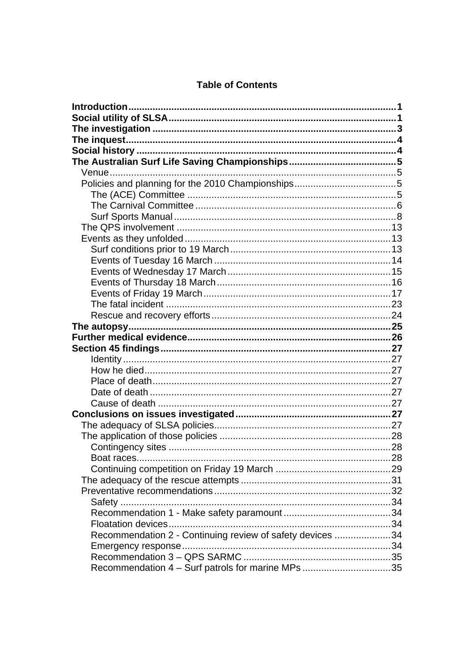|  | <b>Table of Contents</b> |
|--|--------------------------|
|--|--------------------------|

| Boat races                                                |  |
|-----------------------------------------------------------|--|
|                                                           |  |
|                                                           |  |
|                                                           |  |
|                                                           |  |
|                                                           |  |
|                                                           |  |
| Recommendation 2 - Continuing review of safety devices 34 |  |
|                                                           |  |
| Recommendation 4 - Surf patrols for marine MPs 35         |  |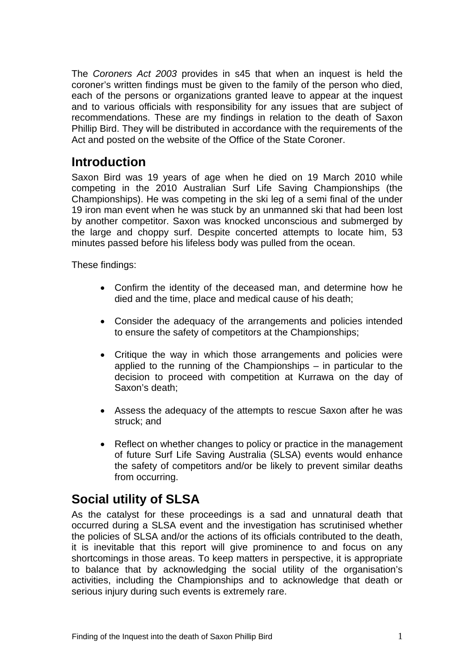<span id="page-2-0"></span>The *Coroners Act 2003* provides in s45 that when an inquest is held the coroner's written findings must be given to the family of the person who died, each of the persons or organizations granted leave to appear at the inquest and to various officials with responsibility for any issues that are subject of recommendations. These are my findings in relation to the death of Saxon Phillip Bird. They will be distributed in accordance with the requirements of the Act and posted on the website of the Office of the State Coroner.

# **Introduction**

Saxon Bird was 19 years of age when he died on 19 March 2010 while competing in the 2010 Australian Surf Life Saving Championships (the Championships). He was competing in the ski leg of a semi final of the under 19 iron man event when he was stuck by an unmanned ski that had been lost by another competitor. Saxon was knocked unconscious and submerged by the large and choppy surf. Despite concerted attempts to locate him, 53 minutes passed before his lifeless body was pulled from the ocean.

These findings:

- Confirm the identity of the deceased man, and determine how he died and the time, place and medical cause of his death;
- Consider the adequacy of the arrangements and policies intended to ensure the safety of competitors at the Championships;
- Critique the way in which those arrangements and policies were applied to the running of the Championships – in particular to the decision to proceed with competition at Kurrawa on the day of Saxon's death;
- Assess the adequacy of the attempts to rescue Saxon after he was struck; and
- Reflect on whether changes to policy or practice in the management of future Surf Life Saving Australia (SLSA) events would enhance the safety of competitors and/or be likely to prevent similar deaths from occurring.

# **Social utility of SLSA**

As the catalyst for these proceedings is a sad and unnatural death that occurred during a SLSA event and the investigation has scrutinised whether the policies of SLSA and/or the actions of its officials contributed to the death, it is inevitable that this report will give prominence to and focus on any shortcomings in those areas. To keep matters in perspective, it is appropriate to balance that by acknowledging the social utility of the organisation's activities, including the Championships and to acknowledge that death or serious injury during such events is extremely rare.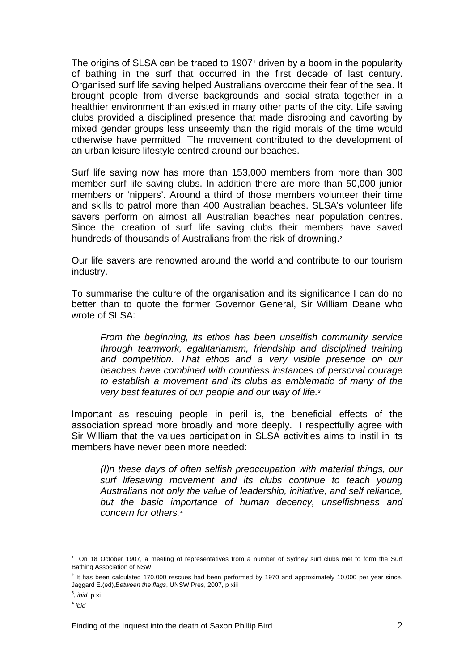The origins of SLSA can be traced to 1907**[1](#page-3-0)** driven by a boom in the popularity of bathing in the surf that occurred in the first decade of last century. Organised surf life saving helped Australians overcome their fear of the sea. It brought people from diverse backgrounds and social strata together in a healthier environment than existed in many other parts of the city. Life saving clubs provided a disciplined presence that made disrobing and cavorting by mixed gender groups less unseemly than the rigid morals of the time would otherwise have permitted. The movement contributed to the development of an urban leisure lifestyle centred around our beaches.

Surf life saving now has more than 153,000 members from more than 300 member surf life saving clubs. In addition there are more than 50,000 junior members or 'nippers'. Around a third of those members volunteer their time and skills to patrol more than 400 Australian beaches. SLSA's volunteer life savers perform on almost all Australian beaches near population centres. Since the creation of surf life saving clubs their members have saved hundreds of thousands of Australians from the risk of drowning.**[2](#page-3-1)**

Our life savers are renowned around the world and contribute to our tourism industry.

To summarise the culture of the organisation and its significance I can do no better than to quote the former Governor General, Sir William Deane who wrote of SLSA:

*From the beginning, its ethos has been unselfish community service through teamwork, egalitarianism, friendship and disciplined training and competition. That ethos and a very visible presence on our beaches have combined with countless instances of personal courage to establish a movement and its clubs as emblematic of many of the very best features of our people and our way of life.[3](#page-3-2)*

Important as rescuing people in peril is, the beneficial effects of the association spread more broadly and more deeply. I respectfully agree with Sir William that the values participation in SLSA activities aims to instil in its members have never been more needed:

*(I)n these days of often selfish preoccupation with material things, our surf lifesaving movement and its clubs continue to teach young Australians not only the value of leadership, initiative, and self reliance, but the basic importance of human decency, unselfishness and concern for others.[4](#page-3-3)*

 $\overline{a}$ 

<span id="page-3-0"></span>**<sup>1</sup>** On 18 October 1907, a meeting of representatives from a number of Sydney surf clubs met to form the Surf Bathing Association of NSW.

<span id="page-3-1"></span>**<sup>2</sup>** It has been calculated 170,000 rescues had been performed by 1970 and approximately 10,000 per year since. Jaggard E.(ed),*Between the flags*, UNSW Pres, 2007, p xiii

<span id="page-3-2"></span>**<sup>3</sup>** , *ibid* p xi

<span id="page-3-3"></span>**<sup>4</sup>** *ibid*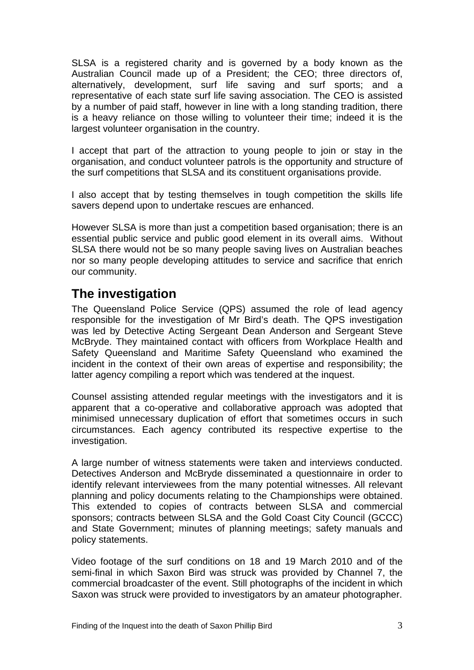<span id="page-4-0"></span>SLSA is a registered charity and is governed by a body known as the Australian Council made up of a President; the CEO; three directors of, alternatively, development, surf life saving and surf sports; and a representative of each state surf life saving association. The CEO is assisted by a number of paid staff, however in line with a long standing tradition, there is a heavy reliance on those willing to volunteer their time; indeed it is the largest volunteer organisation in the country.

I accept that part of the attraction to young people to join or stay in the organisation, and conduct volunteer patrols is the opportunity and structure of the surf competitions that SLSA and its constituent organisations provide.

I also accept that by testing themselves in tough competition the skills life savers depend upon to undertake rescues are enhanced.

However SLSA is more than just a competition based organisation; there is an essential public service and public good element in its overall aims. Without SLSA there would not be so many people saving lives on Australian beaches nor so many people developing attitudes to service and sacrifice that enrich our community.

# **The investigation**

The Queensland Police Service (QPS) assumed the role of lead agency responsible for the investigation of Mr Bird's death. The QPS investigation was led by Detective Acting Sergeant Dean Anderson and Sergeant Steve McBryde. They maintained contact with officers from Workplace Health and Safety Queensland and Maritime Safety Queensland who examined the incident in the context of their own areas of expertise and responsibility; the latter agency compiling a report which was tendered at the inquest.

Counsel assisting attended regular meetings with the investigators and it is apparent that a co-operative and collaborative approach was adopted that minimised unnecessary duplication of effort that sometimes occurs in such circumstances. Each agency contributed its respective expertise to the investigation.

A large number of witness statements were taken and interviews conducted. Detectives Anderson and McBryde disseminated a questionnaire in order to identify relevant interviewees from the many potential witnesses. All relevant planning and policy documents relating to the Championships were obtained. This extended to copies of contracts between SLSA and commercial sponsors; contracts between SLSA and the Gold Coast City Council (GCCC) and State Government; minutes of planning meetings; safety manuals and policy statements.

Video footage of the surf conditions on 18 and 19 March 2010 and of the semi-final in which Saxon Bird was struck was provided by Channel 7, the commercial broadcaster of the event. Still photographs of the incident in which Saxon was struck were provided to investigators by an amateur photographer.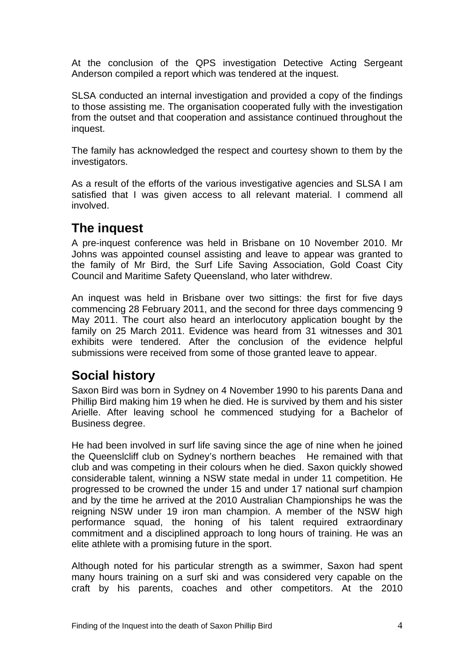<span id="page-5-0"></span>At the conclusion of the QPS investigation Detective Acting Sergeant Anderson compiled a report which was tendered at the inquest.

SLSA conducted an internal investigation and provided a copy of the findings to those assisting me. The organisation cooperated fully with the investigation from the outset and that cooperation and assistance continued throughout the inquest.

The family has acknowledged the respect and courtesy shown to them by the investigators.

As a result of the efforts of the various investigative agencies and SLSA I am satisfied that I was given access to all relevant material. I commend all involved.

# **The inquest**

A pre-inquest conference was held in Brisbane on 10 November 2010. Mr Johns was appointed counsel assisting and leave to appear was granted to the family of Mr Bird, the Surf Life Saving Association, Gold Coast City Council and Maritime Safety Queensland, who later withdrew.

An inquest was held in Brisbane over two sittings: the first for five days commencing 28 February 2011, and the second for three days commencing 9 May 2011. The court also heard an interlocutory application bought by the family on 25 March 2011. Evidence was heard from 31 witnesses and 301 exhibits were tendered. After the conclusion of the evidence helpful submissions were received from some of those granted leave to appear.

# **Social history**

Saxon Bird was born in Sydney on 4 November 1990 to his parents Dana and Phillip Bird making him 19 when he died. He is survived by them and his sister Arielle. After leaving school he commenced studying for a Bachelor of Business degree.

He had been involved in surf life saving since the age of nine when he joined the Queenslcliff club on Sydney's northern beaches He remained with that club and was competing in their colours when he died. Saxon quickly showed considerable talent, winning a NSW state medal in under 11 competition. He progressed to be crowned the under 15 and under 17 national surf champion and by the time he arrived at the 2010 Australian Championships he was the reigning NSW under 19 iron man champion. A member of the NSW high performance squad, the honing of his talent required extraordinary commitment and a disciplined approach to long hours of training. He was an elite athlete with a promising future in the sport.

Although noted for his particular strength as a swimmer, Saxon had spent many hours training on a surf ski and was considered very capable on the craft by his parents, coaches and other competitors. At the 2010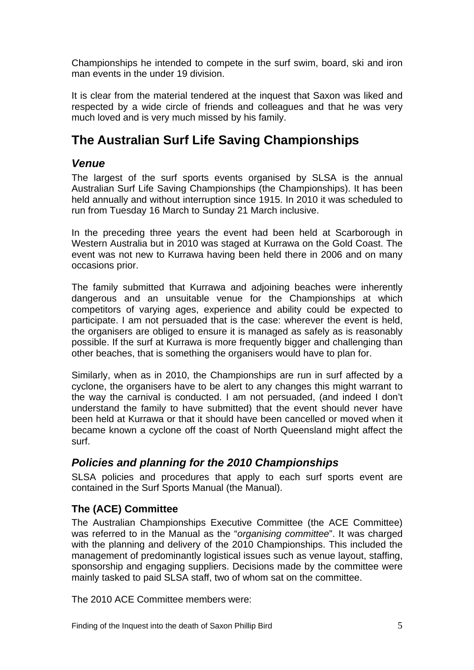<span id="page-6-0"></span>Championships he intended to compete in the surf swim, board, ski and iron man events in the under 19 division.

It is clear from the material tendered at the inquest that Saxon was liked and respected by a wide circle of friends and colleagues and that he was very much loved and is very much missed by his family.

# **The Australian Surf Life Saving Championships**

# *Venue*

The largest of the surf sports events organised by SLSA is the annual Australian Surf Life Saving Championships (the Championships). It has been held annually and without interruption since 1915. In 2010 it was scheduled to run from Tuesday 16 March to Sunday 21 March inclusive.

In the preceding three years the event had been held at Scarborough in Western Australia but in 2010 was staged at Kurrawa on the Gold Coast. The event was not new to Kurrawa having been held there in 2006 and on many occasions prior.

The family submitted that Kurrawa and adjoining beaches were inherently dangerous and an unsuitable venue for the Championships at which competitors of varying ages, experience and ability could be expected to participate. I am not persuaded that is the case: wherever the event is held, the organisers are obliged to ensure it is managed as safely as is reasonably possible. If the surf at Kurrawa is more frequently bigger and challenging than other beaches, that is something the organisers would have to plan for.

Similarly, when as in 2010, the Championships are run in surf affected by a cyclone, the organisers have to be alert to any changes this might warrant to the way the carnival is conducted. I am not persuaded, (and indeed I don't understand the family to have submitted) that the event should never have been held at Kurrawa or that it should have been cancelled or moved when it became known a cyclone off the coast of North Queensland might affect the surf.

# *Policies and planning for the 2010 Championships*

SLSA policies and procedures that apply to each surf sports event are contained in the Surf Sports Manual (the Manual).

# **The (ACE) Committee**

The Australian Championships Executive Committee (the ACE Committee) was referred to in the Manual as the "*organising committee*". It was charged with the planning and delivery of the 2010 Championships. This included the management of predominantly logistical issues such as venue layout, staffing, sponsorship and engaging suppliers. Decisions made by the committee were mainly tasked to paid SLSA staff, two of whom sat on the committee.

The 2010 ACE Committee members were: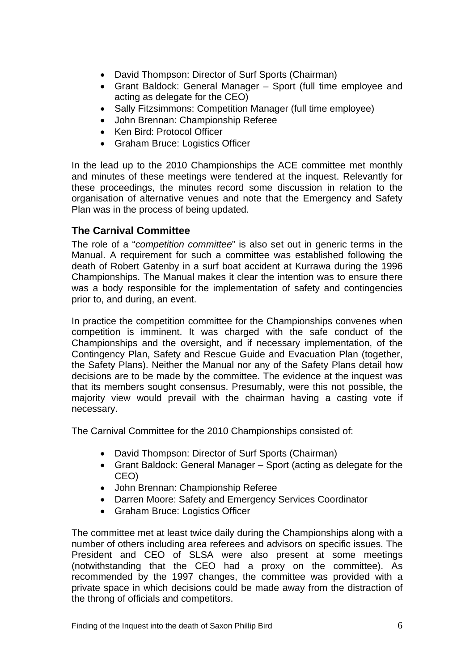- <span id="page-7-0"></span>• David Thompson: Director of Surf Sports (Chairman)
- Grant Baldock: General Manager Sport (full time employee and acting as delegate for the CEO)
- Sally Fitzsimmons: Competition Manager (full time employee)
- John Brennan: Championship Referee
- Ken Bird: Protocol Officer
- Graham Bruce: Logistics Officer

In the lead up to the 2010 Championships the ACE committee met monthly and minutes of these meetings were tendered at the inquest. Relevantly for these proceedings, the minutes record some discussion in relation to the organisation of alternative venues and note that the Emergency and Safety Plan was in the process of being updated.

## **The Carnival Committee**

The role of a "*competition committee*" is also set out in generic terms in the Manual. A requirement for such a committee was established following the death of Robert Gatenby in a surf boat accident at Kurrawa during the 1996 Championships. The Manual makes it clear the intention was to ensure there was a body responsible for the implementation of safety and contingencies prior to, and during, an event.

In practice the competition committee for the Championships convenes when competition is imminent. It was charged with the safe conduct of the Championships and the oversight, and if necessary implementation, of the Contingency Plan, Safety and Rescue Guide and Evacuation Plan (together, the Safety Plans). Neither the Manual nor any of the Safety Plans detail how decisions are to be made by the committee. The evidence at the inquest was that its members sought consensus. Presumably, were this not possible, the majority view would prevail with the chairman having a casting vote if necessary.

The Carnival Committee for the 2010 Championships consisted of:

- David Thompson: Director of Surf Sports (Chairman)
- Grant Baldock: General Manager Sport (acting as delegate for the CEO)
- John Brennan: Championship Referee
- Darren Moore: Safety and Emergency Services Coordinator
- Graham Bruce: Logistics Officer

The committee met at least twice daily during the Championships along with a number of others including area referees and advisors on specific issues. The President and CEO of SLSA were also present at some meetings (notwithstanding that the CEO had a proxy on the committee). As recommended by the 1997 changes, the committee was provided with a private space in which decisions could be made away from the distraction of the throng of officials and competitors.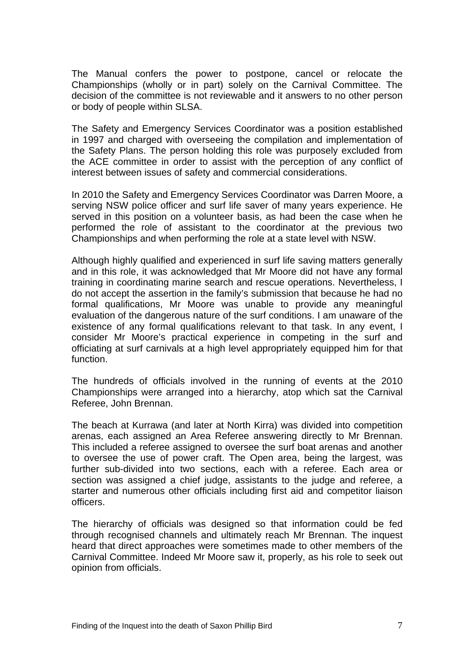The Manual confers the power to postpone, cancel or relocate the Championships (wholly or in part) solely on the Carnival Committee. The decision of the committee is not reviewable and it answers to no other person or body of people within SLSA.

The Safety and Emergency Services Coordinator was a position established in 1997 and charged with overseeing the compilation and implementation of the Safety Plans. The person holding this role was purposely excluded from the ACE committee in order to assist with the perception of any conflict of interest between issues of safety and commercial considerations.

In 2010 the Safety and Emergency Services Coordinator was Darren Moore, a serving NSW police officer and surf life saver of many years experience. He served in this position on a volunteer basis, as had been the case when he performed the role of assistant to the coordinator at the previous two Championships and when performing the role at a state level with NSW.

Although highly qualified and experienced in surf life saving matters generally and in this role, it was acknowledged that Mr Moore did not have any formal training in coordinating marine search and rescue operations. Nevertheless, I do not accept the assertion in the family's submission that because he had no formal qualifications, Mr Moore was unable to provide any meaningful evaluation of the dangerous nature of the surf conditions. I am unaware of the existence of any formal qualifications relevant to that task. In any event, I consider Mr Moore's practical experience in competing in the surf and officiating at surf carnivals at a high level appropriately equipped him for that function.

The hundreds of officials involved in the running of events at the 2010 Championships were arranged into a hierarchy, atop which sat the Carnival Referee, John Brennan.

The beach at Kurrawa (and later at North Kirra) was divided into competition arenas, each assigned an Area Referee answering directly to Mr Brennan. This included a referee assigned to oversee the surf boat arenas and another to oversee the use of power craft. The Open area, being the largest, was further sub-divided into two sections, each with a referee. Each area or section was assigned a chief judge, assistants to the judge and referee, a starter and numerous other officials including first aid and competitor liaison officers.

The hierarchy of officials was designed so that information could be fed through recognised channels and ultimately reach Mr Brennan. The inquest heard that direct approaches were sometimes made to other members of the Carnival Committee. Indeed Mr Moore saw it, properly, as his role to seek out opinion from officials.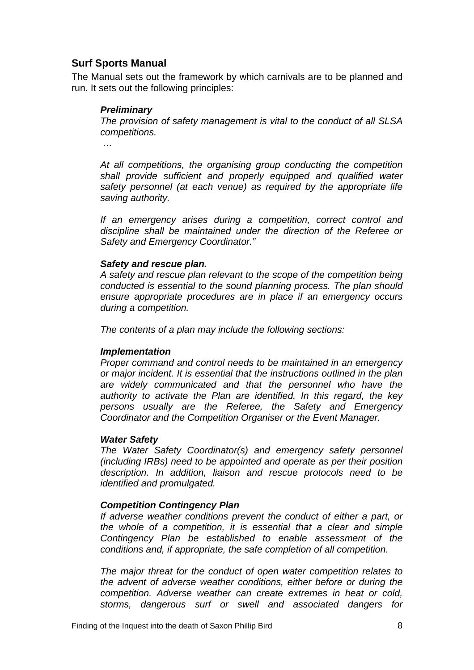### <span id="page-9-0"></span>**Surf Sports Manual**

The Manual sets out the framework by which carnivals are to be planned and run. It sets out the following principles:

#### *Preliminary*

*The provision of safety management is vital to the conduct of all SLSA competitions.* 

 *…* 

*At all competitions, the organising group conducting the competition shall provide sufficient and properly equipped and qualified water safety personnel (at each venue) as required by the appropriate life saving authority.* 

*If an emergency arises during a competition, correct control and discipline shall be maintained under the direction of the Referee or Safety and Emergency Coordinator."* 

#### *Safety and rescue plan.*

*A safety and rescue plan relevant to the scope of the competition being conducted is essential to the sound planning process. The plan should ensure appropriate procedures are in place if an emergency occurs during a competition.* 

*The contents of a plan may include the following sections:* 

#### *Implementation*

*Proper command and control needs to be maintained in an emergency or major incident. It is essential that the instructions outlined in the plan are widely communicated and that the personnel who have the authority to activate the Plan are identified. In this regard, the key persons usually are the Referee, the Safety and Emergency Coordinator and the Competition Organiser or the Event Manager.* 

#### *Water Safety*

*The Water Safety Coordinator(s) and emergency safety personnel (including IRBs) need to be appointed and operate as per their position description. In addition, liaison and rescue protocols need to be identified and promulgated.* 

### *Competition Contingency Plan*

*If adverse weather conditions prevent the conduct of either a part, or the whole of a competition, it is essential that a clear and simple Contingency Plan be established to enable assessment of the conditions and, if appropriate, the safe completion of all competition.* 

*The major threat for the conduct of open water competition relates to the advent of adverse weather conditions, either before or during the competition. Adverse weather can create extremes in heat or cold, storms, dangerous surf or swell and associated dangers for*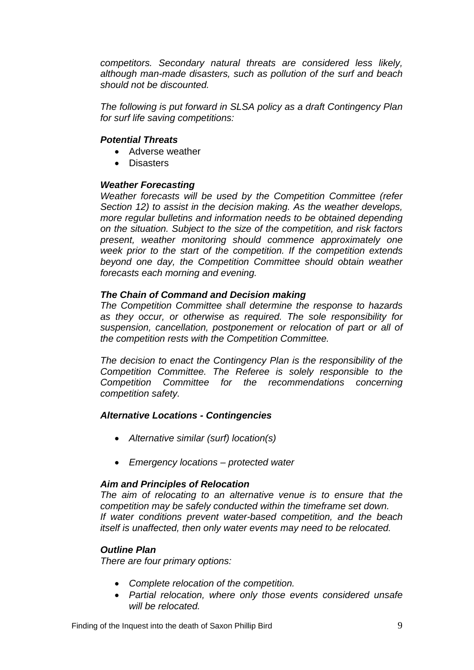*competitors. Secondary natural threats are considered less likely, although man-made disasters, such as pollution of the surf and beach should not be discounted.* 

*The following is put forward in SLSA policy as a draft Contingency Plan for surf life saving competitions:* 

#### *Potential Threats*

- Adverse weather
- Disasters

#### *Weather Forecasting*

*Weather forecasts will be used by the Competition Committee (refer Section 12) to assist in the decision making. As the weather develops, more regular bulletins and information needs to be obtained depending on the situation. Subject to the size of the competition, and risk factors present, weather monitoring should commence approximately one week prior to the start of the competition. If the competition extends beyond one day, the Competition Committee should obtain weather forecasts each morning and evening.* 

#### *The Chain of Command and Decision making*

*The Competition Committee shall determine the response to hazards as they occur, or otherwise as required. The sole responsibility for suspension, cancellation, postponement or relocation of part or all of the competition rests with the Competition Committee.* 

*The decision to enact the Contingency Plan is the responsibility of the Competition Committee. The Referee is solely responsible to the Competition Committee for the recommendations concerning competition safety.* 

#### *Alternative Locations - Contingencies*

- *Alternative similar (surf) location(s)*
- *Emergency locations protected water*

#### *Aim and Principles of Relocation*

*The aim of relocating to an alternative venue is to ensure that the competition may be safely conducted within the timeframe set down. If water conditions prevent water-based competition, and the beach itself is unaffected, then only water events may need to be relocated.* 

#### *Outline Plan*

*There are four primary options:* 

- *Complete relocation of the competition.*
- *Partial relocation, where only those events considered unsafe will be relocated.*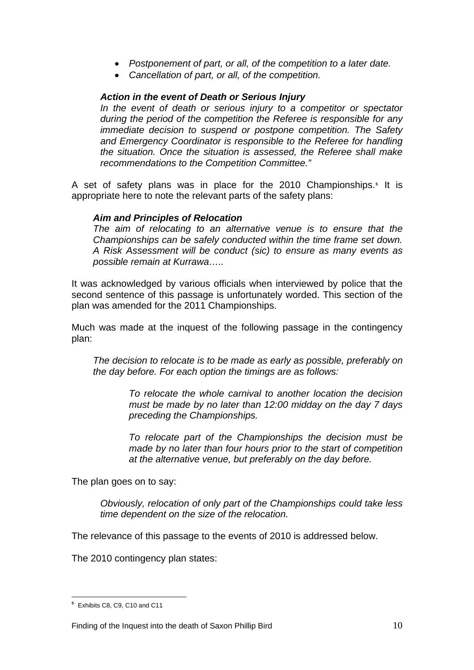- *Postponement of part, or all, of the competition to a later date.*
- *Cancellation of part, or all, of the competition.*

#### *Action in the event of Death or Serious Injury*

*In the event of death or serious injury to a competitor or spectator during the period of the competition the Referee is responsible for any immediate decision to suspend or postpone competition. The Safety and Emergency Coordinator is responsible to the Referee for handling the situation. Once the situation is assessed, the Referee shall make recommendations to the Competition Committee."* 

A set of safety plans was in place for the 2010 Championships.**[5](#page-11-0)** It is appropriate here to note the relevant parts of the safety plans:

#### *Aim and Principles of Relocation*

*The aim of relocating to an alternative venue is to ensure that the Championships can be safely conducted within the time frame set down. A Risk Assessment will be conduct (sic) to ensure as many events as possible remain at Kurrawa…..*

It was acknowledged by various officials when interviewed by police that the second sentence of this passage is unfortunately worded. This section of the plan was amended for the 2011 Championships.

Much was made at the inquest of the following passage in the contingency plan:

*The decision to relocate is to be made as early as possible, preferably on the day before. For each option the timings are as follows:* 

> *To relocate the whole carnival to another location the decision must be made by no later than 12:00 midday on the day 7 days preceding the Championships.*

> *To relocate part of the Championships the decision must be made by no later than four hours prior to the start of competition at the alternative venue, but preferably on the day before.*

The plan goes on to say:

*Obviously, relocation of only part of the Championships could take less time dependent on the size of the relocation.* 

The relevance of this passage to the events of 2010 is addressed below.

The 2010 contingency plan states:

<span id="page-11-0"></span> $\overline{a}$ **<sup>5</sup>** Exhibits C8, C9, C10 and C11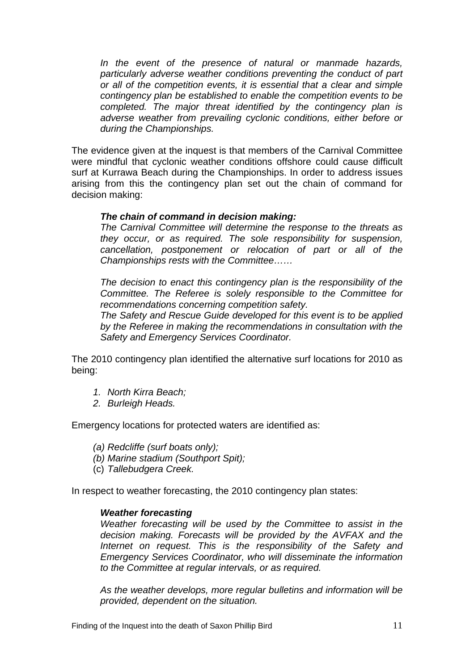*In the event of the presence of natural or manmade hazards, particularly adverse weather conditions preventing the conduct of part or all of the competition events, it is essential that a clear and simple contingency plan be established to enable the competition events to be completed. The major threat identified by the contingency plan is adverse weather from prevailing cyclonic conditions, either before or during the Championships.* 

The evidence given at the inquest is that members of the Carnival Committee were mindful that cyclonic weather conditions offshore could cause difficult surf at Kurrawa Beach during the Championships. In order to address issues arising from this the contingency plan set out the chain of command for decision making:

#### *The chain of command in decision making:*

*The Carnival Committee will determine the response to the threats as they occur, or as required. The sole responsibility for suspension, cancellation, postponement or relocation of part or all of the Championships rests with the Committee……* 

*The decision to enact this contingency plan is the responsibility of the Committee. The Referee is solely responsible to the Committee for recommendations concerning competition safety.* 

*The Safety and Rescue Guide developed for this event is to be applied by the Referee in making the recommendations in consultation with the Safety and Emergency Services Coordinator.* 

The 2010 contingency plan identified the alternative surf locations for 2010 as being:

- *1. North Kirra Beach;*
- *2. Burleigh Heads.*

Emergency locations for protected waters are identified as:

- *(a) Redcliffe (surf boats only);*
- *(b) Marine stadium (Southport Spit);*
- (c) *Tallebudgera Creek.*

In respect to weather forecasting, the 2010 contingency plan states:

#### *Weather forecasting*

*Weather forecasting will be used by the Committee to assist in the decision making. Forecasts will be provided by the AVFAX and the Internet on request. This is the responsibility of the Safety and Emergency Services Coordinator, who will disseminate the information to the Committee at regular intervals, or as required.* 

*As the weather develops, more regular bulletins and information will be provided, dependent on the situation.*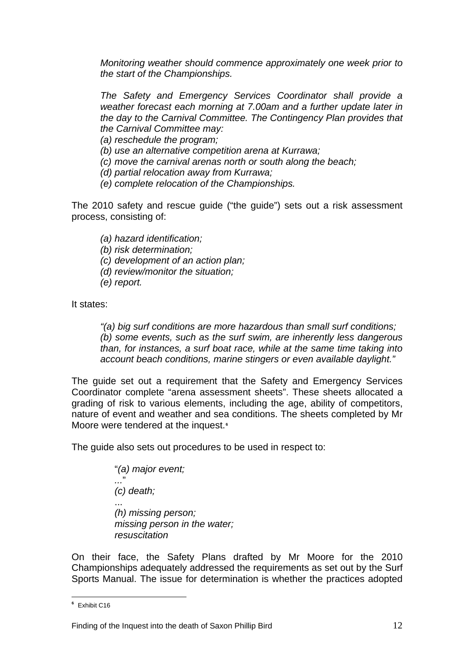*Monitoring weather should commence approximately one week prior to the start of the Championships.* 

*The Safety and Emergency Services Coordinator shall provide a weather forecast each morning at 7.00am and a further update later in the day to the Carnival Committee. The Contingency Plan provides that the Carnival Committee may:* 

*(a) reschedule the program;* 

*(b) use an alternative competition arena at Kurrawa;* 

*(c) move the carnival arenas north or south along the beach;* 

*(d) partial relocation away from Kurrawa;* 

*(e) complete relocation of the Championships.* 

The 2010 safety and rescue guide ("the guide") sets out a risk assessment process, consisting of:

*(a) hazard identification;* 

*(b) risk determination;* 

*(c) development of an action plan;* 

*(d) review/monitor the situation;* 

*(e) report.* 

It states:

*"(a) big surf conditions are more hazardous than small surf conditions; (b) some events, such as the surf swim, are inherently less dangerous than, for instances, a surf boat race, while at the same time taking into account beach conditions, marine stingers or even available daylight."* 

The guide set out a requirement that the Safety and Emergency Services Coordinator complete "arena assessment sheets". These sheets allocated a grading of risk to various elements, including the age, ability of competitors, nature of event and weather and sea conditions. The sheets completed by Mr Moore were tendered at the inquest.**[6](#page-13-0)**

The guide also sets out procedures to be used in respect to:

"*(a) major event; ...*" *(c) death;*  ... *(h) missing person; missing person in the water; resuscitation* 

On their face, the Safety Plans drafted by Mr Moore for the 2010 Championships adequately addressed the requirements as set out by the Surf Sports Manual. The issue for determination is whether the practices adopted

<span id="page-13-0"></span> $\overline{a}$ **<sup>6</sup>** Exhibit C16

Finding of the Inquest into the death of Saxon Phillip Bird 12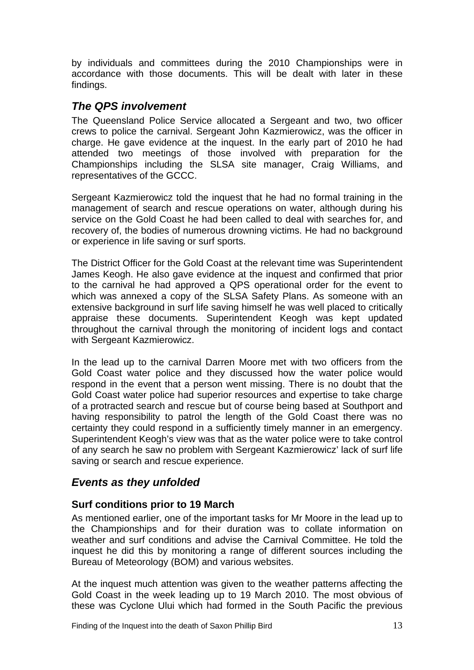<span id="page-14-0"></span>by individuals and committees during the 2010 Championships were in accordance with those documents. This will be dealt with later in these findings.

# *The QPS involvement*

The Queensland Police Service allocated a Sergeant and two, two officer crews to police the carnival. Sergeant John Kazmierowicz, was the officer in charge. He gave evidence at the inquest. In the early part of 2010 he had attended two meetings of those involved with preparation for the Championships including the SLSA site manager, Craig Williams, and representatives of the GCCC.

Sergeant Kazmierowicz told the inquest that he had no formal training in the management of search and rescue operations on water, although during his service on the Gold Coast he had been called to deal with searches for, and recovery of, the bodies of numerous drowning victims. He had no background or experience in life saving or surf sports.

The District Officer for the Gold Coast at the relevant time was Superintendent James Keogh. He also gave evidence at the inquest and confirmed that prior to the carnival he had approved a QPS operational order for the event to which was annexed a copy of the SLSA Safety Plans. As someone with an extensive background in surf life saving himself he was well placed to critically appraise these documents. Superintendent Keogh was kept updated throughout the carnival through the monitoring of incident logs and contact with Sergeant Kazmierowicz.

In the lead up to the carnival Darren Moore met with two officers from the Gold Coast water police and they discussed how the water police would respond in the event that a person went missing. There is no doubt that the Gold Coast water police had superior resources and expertise to take charge of a protracted search and rescue but of course being based at Southport and having responsibility to patrol the length of the Gold Coast there was no certainty they could respond in a sufficiently timely manner in an emergency. Superintendent Keogh's view was that as the water police were to take control of any search he saw no problem with Sergeant Kazmierowicz' lack of surf life saving or search and rescue experience.

# *Events as they unfolded*

## **Surf conditions prior to 19 March**

As mentioned earlier, one of the important tasks for Mr Moore in the lead up to the Championships and for their duration was to collate information on weather and surf conditions and advise the Carnival Committee. He told the inquest he did this by monitoring a range of different sources including the Bureau of Meteorology (BOM) and various websites.

At the inquest much attention was given to the weather patterns affecting the Gold Coast in the week leading up to 19 March 2010. The most obvious of these was Cyclone Ului which had formed in the South Pacific the previous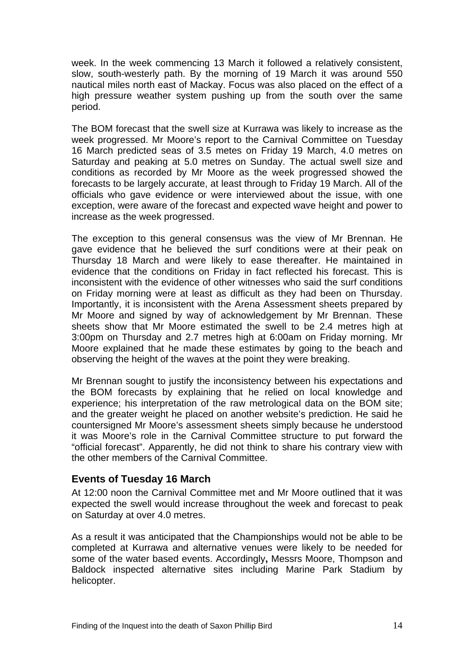<span id="page-15-0"></span>week. In the week commencing 13 March it followed a relatively consistent, slow, south-westerly path. By the morning of 19 March it was around 550 nautical miles north east of Mackay. Focus was also placed on the effect of a high pressure weather system pushing up from the south over the same period.

The BOM forecast that the swell size at Kurrawa was likely to increase as the week progressed. Mr Moore's report to the Carnival Committee on Tuesday 16 March predicted seas of 3.5 metes on Friday 19 March, 4.0 metres on Saturday and peaking at 5.0 metres on Sunday. The actual swell size and conditions as recorded by Mr Moore as the week progressed showed the forecasts to be largely accurate, at least through to Friday 19 March. All of the officials who gave evidence or were interviewed about the issue, with one exception, were aware of the forecast and expected wave height and power to increase as the week progressed.

The exception to this general consensus was the view of Mr Brennan. He gave evidence that he believed the surf conditions were at their peak on Thursday 18 March and were likely to ease thereafter. He maintained in evidence that the conditions on Friday in fact reflected his forecast. This is inconsistent with the evidence of other witnesses who said the surf conditions on Friday morning were at least as difficult as they had been on Thursday. Importantly, it is inconsistent with the Arena Assessment sheets prepared by Mr Moore and signed by way of acknowledgement by Mr Brennan. These sheets show that Mr Moore estimated the swell to be 2.4 metres high at 3:00pm on Thursday and 2.7 metres high at 6:00am on Friday morning. Mr Moore explained that he made these estimates by going to the beach and observing the height of the waves at the point they were breaking.

Mr Brennan sought to justify the inconsistency between his expectations and the BOM forecasts by explaining that he relied on local knowledge and experience; his interpretation of the raw metrological data on the BOM site; and the greater weight he placed on another website's prediction. He said he countersigned Mr Moore's assessment sheets simply because he understood it was Moore's role in the Carnival Committee structure to put forward the "official forecast". Apparently, he did not think to share his contrary view with the other members of the Carnival Committee.

### **Events of Tuesday 16 March**

At 12:00 noon the Carnival Committee met and Mr Moore outlined that it was expected the swell would increase throughout the week and forecast to peak on Saturday at over 4.0 metres.

As a result it was anticipated that the Championships would not be able to be completed at Kurrawa and alternative venues were likely to be needed for some of the water based events. Accordingly**,** Messrs Moore, Thompson and Baldock inspected alternative sites including Marine Park Stadium by helicopter.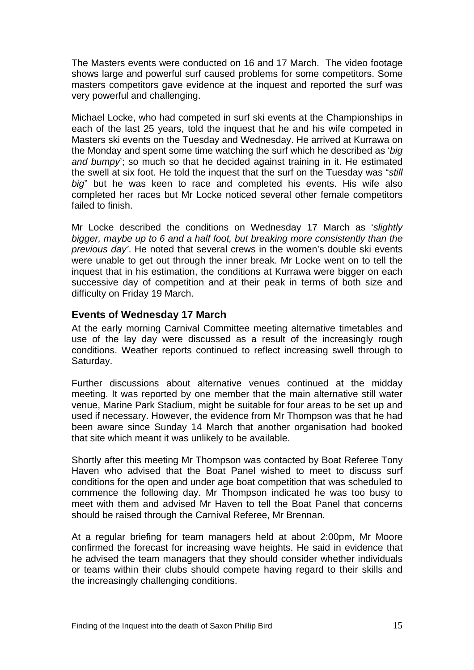<span id="page-16-0"></span>The Masters events were conducted on 16 and 17 March. The video footage shows large and powerful surf caused problems for some competitors. Some masters competitors gave evidence at the inquest and reported the surf was very powerful and challenging.

Michael Locke, who had competed in surf ski events at the Championships in each of the last 25 years, told the inquest that he and his wife competed in Masters ski events on the Tuesday and Wednesday. He arrived at Kurrawa on the Monday and spent some time watching the surf which he described as '*big and bumpy*'; so much so that he decided against training in it. He estimated the swell at six foot. He told the inquest that the surf on the Tuesday was "*still big*" but he was keen to race and completed his events. His wife also completed her races but Mr Locke noticed several other female competitors failed to finish.

Mr Locke described the conditions on Wednesday 17 March as '*slightly bigger, maybe up to 6 and a half foot, but breaking more consistently than the previous day'*. He noted that several crews in the women's double ski events were unable to get out through the inner break. Mr Locke went on to tell the inquest that in his estimation, the conditions at Kurrawa were bigger on each successive day of competition and at their peak in terms of both size and difficulty on Friday 19 March.

### **Events of Wednesday 17 March**

At the early morning Carnival Committee meeting alternative timetables and use of the lay day were discussed as a result of the increasingly rough conditions. Weather reports continued to reflect increasing swell through to Saturday.

Further discussions about alternative venues continued at the midday meeting. It was reported by one member that the main alternative still water venue, Marine Park Stadium, might be suitable for four areas to be set up and used if necessary. However, the evidence from Mr Thompson was that he had been aware since Sunday 14 March that another organisation had booked that site which meant it was unlikely to be available.

Shortly after this meeting Mr Thompson was contacted by Boat Referee Tony Haven who advised that the Boat Panel wished to meet to discuss surf conditions for the open and under age boat competition that was scheduled to commence the following day. Mr Thompson indicated he was too busy to meet with them and advised Mr Haven to tell the Boat Panel that concerns should be raised through the Carnival Referee, Mr Brennan.

At a regular briefing for team managers held at about 2:00pm, Mr Moore confirmed the forecast for increasing wave heights. He said in evidence that he advised the team managers that they should consider whether individuals or teams within their clubs should compete having regard to their skills and the increasingly challenging conditions.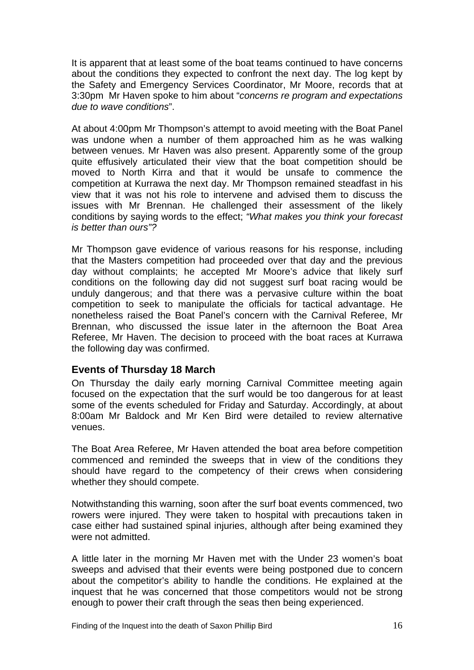<span id="page-17-0"></span>It is apparent that at least some of the boat teams continued to have concerns about the conditions they expected to confront the next day. The log kept by the Safety and Emergency Services Coordinator, Mr Moore, records that at 3:30pm Mr Haven spoke to him about "*concerns re program and expectations due to wave conditions*".

At about 4:00pm Mr Thompson's attempt to avoid meeting with the Boat Panel was undone when a number of them approached him as he was walking between venues. Mr Haven was also present. Apparently some of the group quite effusively articulated their view that the boat competition should be moved to North Kirra and that it would be unsafe to commence the competition at Kurrawa the next day. Mr Thompson remained steadfast in his view that it was not his role to intervene and advised them to discuss the issues with Mr Brennan. He challenged their assessment of the likely conditions by saying words to the effect; *"What makes you think your forecast is better than ours"?* 

Mr Thompson gave evidence of various reasons for his response, including that the Masters competition had proceeded over that day and the previous day without complaints; he accepted Mr Moore's advice that likely surf conditions on the following day did not suggest surf boat racing would be unduly dangerous; and that there was a pervasive culture within the boat competition to seek to manipulate the officials for tactical advantage. He nonetheless raised the Boat Panel's concern with the Carnival Referee, Mr Brennan, who discussed the issue later in the afternoon the Boat Area Referee, Mr Haven. The decision to proceed with the boat races at Kurrawa the following day was confirmed.

### **Events of Thursday 18 March**

On Thursday the daily early morning Carnival Committee meeting again focused on the expectation that the surf would be too dangerous for at least some of the events scheduled for Friday and Saturday. Accordingly, at about 8:00am Mr Baldock and Mr Ken Bird were detailed to review alternative venues.

The Boat Area Referee, Mr Haven attended the boat area before competition commenced and reminded the sweeps that in view of the conditions they should have regard to the competency of their crews when considering whether they should compete.

Notwithstanding this warning, soon after the surf boat events commenced, two rowers were injured. They were taken to hospital with precautions taken in case either had sustained spinal injuries, although after being examined they were not admitted.

A little later in the morning Mr Haven met with the Under 23 women's boat sweeps and advised that their events were being postponed due to concern about the competitor's ability to handle the conditions. He explained at the inquest that he was concerned that those competitors would not be strong enough to power their craft through the seas then being experienced.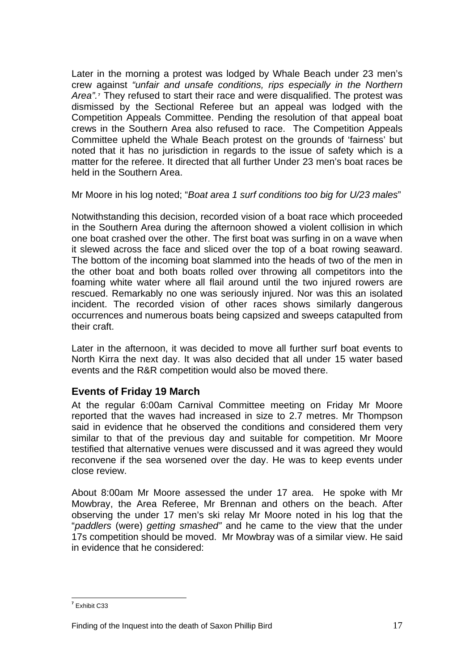<span id="page-18-0"></span>Later in the morning a protest was lodged by Whale Beach under 23 men's crew against *"unfair and unsafe conditions, rips especially in the Northern Area".***[7](#page-18-1)** They refused to start their race and were disqualified. The protest was dismissed by the Sectional Referee but an appeal was lodged with the Competition Appeals Committee. Pending the resolution of that appeal boat crews in the Southern Area also refused to race. The Competition Appeals Committee upheld the Whale Beach protest on the grounds of 'fairness' but noted that it has no jurisdiction in regards to the issue of safety which is a matter for the referee. It directed that all further Under 23 men's boat races be held in the Southern Area.

Mr Moore in his log noted; "*Boat area 1 surf conditions too big for U/23 males*"

Notwithstanding this decision, recorded vision of a boat race which proceeded in the Southern Area during the afternoon showed a violent collision in which one boat crashed over the other. The first boat was surfing in on a wave when it slewed across the face and sliced over the top of a boat rowing seaward. The bottom of the incoming boat slammed into the heads of two of the men in the other boat and both boats rolled over throwing all competitors into the foaming white water where all flail around until the two injured rowers are rescued. Remarkably no one was seriously injured. Nor was this an isolated incident. The recorded vision of other races shows similarly dangerous occurrences and numerous boats being capsized and sweeps catapulted from their craft.

Later in the afternoon, it was decided to move all further surf boat events to North Kirra the next day. It was also decided that all under 15 water based events and the R&R competition would also be moved there.

# **Events of Friday 19 March**

At the regular 6:00am Carnival Committee meeting on Friday Mr Moore reported that the waves had increased in size to 2.7 metres. Mr Thompson said in evidence that he observed the conditions and considered them very similar to that of the previous day and suitable for competition. Mr Moore testified that alternative venues were discussed and it was agreed they would reconvene if the sea worsened over the day. He was to keep events under close review.

About 8:00am Mr Moore assessed the under 17 area. He spoke with Mr Mowbray, the Area Referee, Mr Brennan and others on the beach. After observing the under 17 men's ski relay Mr Moore noted in his log that the "*paddlers* (were) *getting smashed"* and he came to the view that the under 17s competition should be moved. Mr Mowbray was of a similar view. He said in evidence that he considered:

<span id="page-18-1"></span> **7** Exhibit C33

Finding of the Inquest into the death of Saxon Phillip Bird 17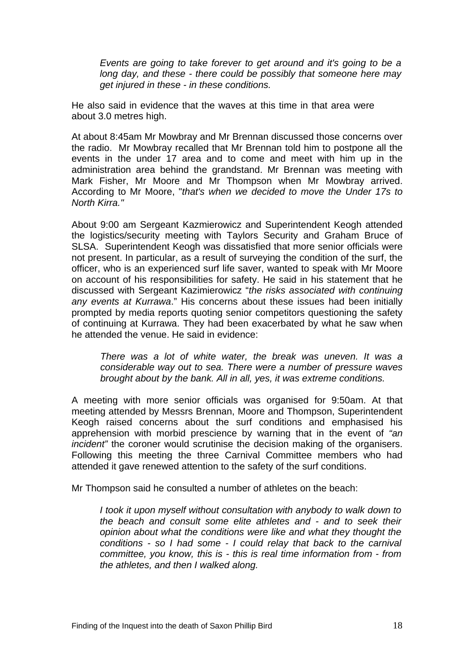*Events are going to take forever to get around and it's going to be a long day, and these - there could be possibly that someone here may get injured in these - in these conditions.* 

He also said in evidence that the waves at this time in that area were about 3.0 metres high.

At about 8:45am Mr Mowbray and Mr Brennan discussed those concerns over the radio. Mr Mowbray recalled that Mr Brennan told him to postpone all the events in the under 17 area and to come and meet with him up in the administration area behind the grandstand. Mr Brennan was meeting with Mark Fisher, Mr Moore and Mr Thompson when Mr Mowbray arrived. According to Mr Moore, "*that's when we decided to move the Under 17s to North Kirra."*

About 9:00 am Sergeant Kazmierowicz and Superintendent Keogh attended the logistics/security meeting with Taylors Security and Graham Bruce of SLSA. Superintendent Keogh was dissatisfied that more senior officials were not present. In particular, as a result of surveying the condition of the surf, the officer, who is an experienced surf life saver, wanted to speak with Mr Moore on account of his responsibilities for safety. He said in his statement that he discussed with Sergeant Kazimierowicz "*the risks associated with continuing any events at Kurrawa*." His concerns about these issues had been initially prompted by media reports quoting senior competitors questioning the safety of continuing at Kurrawa. They had been exacerbated by what he saw when he attended the venue. He said in evidence:

*There was a lot of white water, the break was uneven. It was a considerable way out to sea. There were a number of pressure waves brought about by the bank. All in all, yes, it was extreme conditions.* 

A meeting with more senior officials was organised for 9:50am. At that meeting attended by Messrs Brennan, Moore and Thompson, Superintendent Keogh raised concerns about the surf conditions and emphasised his apprehension with morbid prescience by warning that in the event of *"an incident"* the coroner would scrutinise the decision making of the organisers. Following this meeting the three Carnival Committee members who had attended it gave renewed attention to the safety of the surf conditions.

Mr Thompson said he consulted a number of athletes on the beach:

*I took it upon myself without consultation with anybody to walk down to the beach and consult some elite athletes and - and to seek their opinion about what the conditions were like and what they thought the conditions - so I had some - I could relay that back to the carnival committee, you know, this is - this is real time information from - from the athletes, and then I walked along.*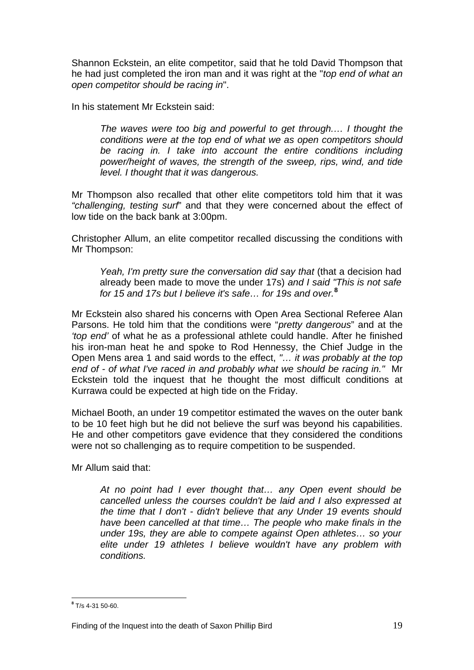Shannon Eckstein, an elite competitor, said that he told David Thompson that he had just completed the iron man and it was right at the "*top end of what an open competitor should be racing in*".

In his statement Mr Eckstein said:

*The waves were too big and powerful to get through.… I thought the conditions were at the top end of what we as open competitors should*  be racing in. I take into account the entire conditions including *power/height of waves, the strength of the sweep, rips, wind, and tide level. I thought that it was dangerous.* 

Mr Thompson also recalled that other elite competitors told him that it was *"challenging, testing surf*" and that they were concerned about the effect of low tide on the back bank at 3:00pm.

Christopher Allum, an elite competitor recalled discussing the conditions with Mr Thompson:

*Yeah, I'm pretty sure the conversation did say that (that a decision had* already been made to move the under 17s) *and I said "This is not safe for 15 and 17s but I believe it's safe… for 19s and over.***[8](#page-20-0)**

Mr Eckstein also shared his concerns with Open Area Sectional Referee Alan Parsons. He told him that the conditions were "*pretty dangerous*" and at the *'top end'* of what he as a professional athlete could handle. After he finished his iron-man heat he and spoke to Rod Hennessy, the Chief Judge in the Open Mens area 1 and said words to the effect, *"… it was probably at the top end of - of what I've raced in and probably what we should be racing in."* Mr Eckstein told the inquest that he thought the most difficult conditions at Kurrawa could be expected at high tide on the Friday.

Michael Booth, an under 19 competitor estimated the waves on the outer bank to be 10 feet high but he did not believe the surf was beyond his capabilities. He and other competitors gave evidence that they considered the conditions were not so challenging as to require competition to be suspended.

Mr Allum said that:

*At no point had I ever thought that… any Open event should be cancelled unless the courses couldn't be laid and I also expressed at the time that I don't - didn't believe that any Under 19 events should have been cancelled at that time… The people who make finals in the under 19s, they are able to compete against Open athletes… so your elite under 19 athletes I believe wouldn't have any problem with conditions.* 

<span id="page-20-0"></span> **8** T/s 4-31 50-60.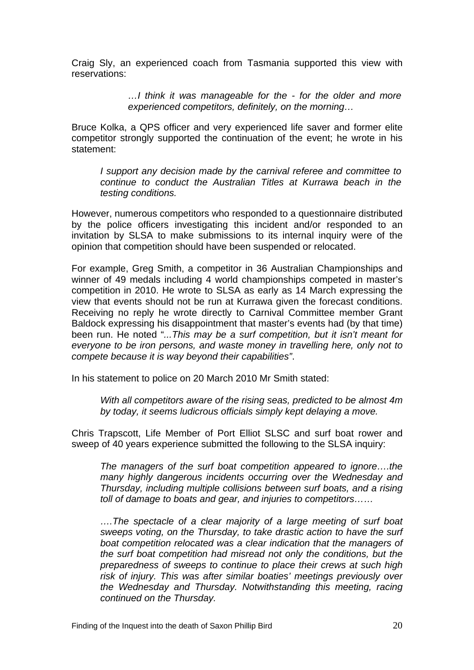Craig Sly, an experienced coach from Tasmania supported this view with reservations:

> *…I think it was manageable for the - for the older and more experienced competitors, definitely, on the morning…*

Bruce Kolka, a QPS officer and very experienced life saver and former elite competitor strongly supported the continuation of the event; he wrote in his statement:

*I support any decision made by the carnival referee and committee to continue to conduct the Australian Titles at Kurrawa beach in the testing conditions.* 

However, numerous competitors who responded to a questionnaire distributed by the police officers investigating this incident and/or responded to an invitation by SLSA to make submissions to its internal inquiry were of the opinion that competition should have been suspended or relocated.

For example, Greg Smith, a competitor in 36 Australian Championships and winner of 49 medals including 4 world championships competed in master's competition in 2010. He wrote to SLSA as early as 14 March expressing the view that events should not be run at Kurrawa given the forecast conditions. Receiving no reply he wrote directly to Carnival Committee member Grant Baldock expressing his disappointment that master's events had (by that time) been run. He noted "*...This may be a surf competition, but it isn't meant for everyone to be iron persons, and waste money in travelling here, only not to compete because it is way beyond their capabilities"*.

In his statement to police on 20 March 2010 Mr Smith stated:

*With all competitors aware of the rising seas, predicted to be almost 4m by today, it seems ludicrous officials simply kept delaying a move.* 

Chris Trapscott, Life Member of Port Elliot SLSC and surf boat rower and sweep of 40 years experience submitted the following to the SLSA inquiry:

*The managers of the surf boat competition appeared to ignore….the many highly dangerous incidents occurring over the Wednesday and Thursday, including multiple collisions between surf boats, and a rising toll of damage to boats and gear, and injuries to competitors……* 

*….The spectacle of a clear majority of a large meeting of surf boat sweeps voting, on the Thursday, to take drastic action to have the surf boat competition relocated was a clear indication that the managers of the surf boat competition had misread not only the conditions, but the preparedness of sweeps to continue to place their crews at such high risk of injury. This was after similar boaties' meetings previously over the Wednesday and Thursday. Notwithstanding this meeting, racing continued on the Thursday.*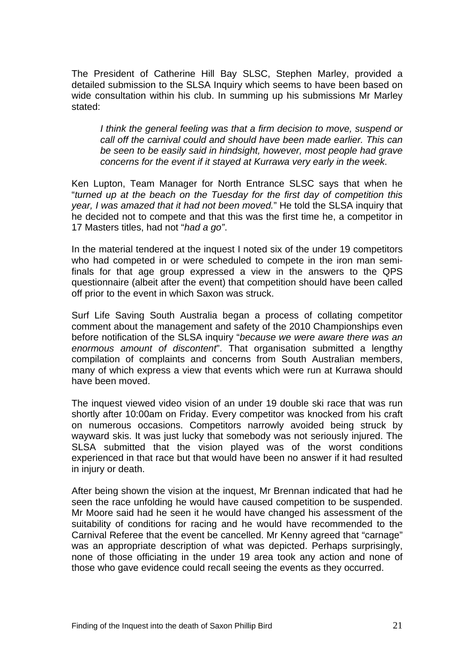The President of Catherine Hill Bay SLSC, Stephen Marley, provided a detailed submission to the SLSA Inquiry which seems to have been based on wide consultation within his club. In summing up his submissions Mr Marley stated:

*I think the general feeling was that a firm decision to move, suspend or call off the carnival could and should have been made earlier. This can be seen to be easily said in hindsight, however, most people had grave concerns for the event if it stayed at Kurrawa very early in the week*.

Ken Lupton, Team Manager for North Entrance SLSC says that when he "*turned up at the beach on the Tuesday for the first day of competition this year, I was amazed that it had not been moved.*" He told the SLSA inquiry that he decided not to compete and that this was the first time he, a competitor in 17 Masters titles, had not "*had a go"*.

In the material tendered at the inquest I noted six of the under 19 competitors who had competed in or were scheduled to compete in the iron man semifinals for that age group expressed a view in the answers to the QPS questionnaire (albeit after the event) that competition should have been called off prior to the event in which Saxon was struck.

Surf Life Saving South Australia began a process of collating competitor comment about the management and safety of the 2010 Championships even before notification of the SLSA inquiry "*because we were aware there was an enormous amount of discontent*". That organisation submitted a lengthy compilation of complaints and concerns from South Australian members, many of which express a view that events which were run at Kurrawa should have been moved.

The inquest viewed video vision of an under 19 double ski race that was run shortly after 10:00am on Friday. Every competitor was knocked from his craft on numerous occasions. Competitors narrowly avoided being struck by wayward skis. It was just lucky that somebody was not seriously injured. The SLSA submitted that the vision played was of the worst conditions experienced in that race but that would have been no answer if it had resulted in injury or death.

After being shown the vision at the inquest, Mr Brennan indicated that had he seen the race unfolding he would have caused competition to be suspended. Mr Moore said had he seen it he would have changed his assessment of the suitability of conditions for racing and he would have recommended to the Carnival Referee that the event be cancelled. Mr Kenny agreed that "carnage" was an appropriate description of what was depicted. Perhaps surprisingly, none of those officiating in the under 19 area took any action and none of those who gave evidence could recall seeing the events as they occurred.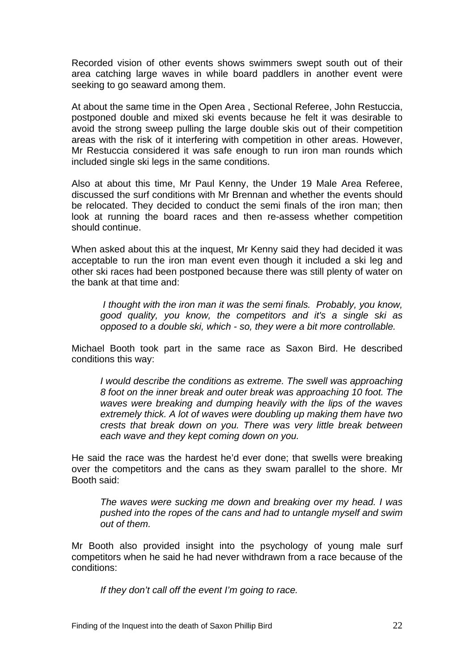Recorded vision of other events shows swimmers swept south out of their area catching large waves in while board paddlers in another event were seeking to go seaward among them.

At about the same time in the Open Area , Sectional Referee, John Restuccia, postponed double and mixed ski events because he felt it was desirable to avoid the strong sweep pulling the large double skis out of their competition areas with the risk of it interfering with competition in other areas. However, Mr Restuccia considered it was safe enough to run iron man rounds which included single ski legs in the same conditions.

Also at about this time, Mr Paul Kenny, the Under 19 Male Area Referee, discussed the surf conditions with Mr Brennan and whether the events should be relocated. They decided to conduct the semi finals of the iron man; then look at running the board races and then re-assess whether competition should continue.

When asked about this at the inquest, Mr Kenny said they had decided it was acceptable to run the iron man event even though it included a ski leg and other ski races had been postponed because there was still plenty of water on the bank at that time and:

 *I thought with the iron man it was the semi finals. Probably, you know, good quality, you know, the competitors and it's a single ski as opposed to a double ski, which - so, they were a bit more controllable.* 

Michael Booth took part in the same race as Saxon Bird. He described conditions this way:

*I* would describe the conditions as extreme. The swell was approaching *8 foot on the inner break and outer break was approaching 10 foot. The waves were breaking and dumping heavily with the lips of the waves extremely thick. A lot of waves were doubling up making them have two crests that break down on you. There was very little break between each wave and they kept coming down on you.* 

He said the race was the hardest he'd ever done; that swells were breaking over the competitors and the cans as they swam parallel to the shore. Mr Booth said:

*The waves were sucking me down and breaking over my head. I was pushed into the ropes of the cans and had to untangle myself and swim out of them.* 

Mr Booth also provided insight into the psychology of young male surf competitors when he said he had never withdrawn from a race because of the conditions:

*If they don't call off the event I'm going to race.*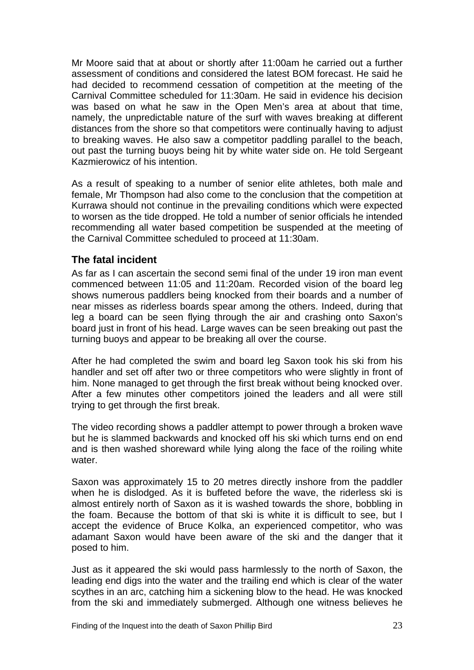<span id="page-24-0"></span>Mr Moore said that at about or shortly after 11:00am he carried out a further assessment of conditions and considered the latest BOM forecast. He said he had decided to recommend cessation of competition at the meeting of the Carnival Committee scheduled for 11:30am. He said in evidence his decision was based on what he saw in the Open Men's area at about that time, namely, the unpredictable nature of the surf with waves breaking at different distances from the shore so that competitors were continually having to adjust to breaking waves. He also saw a competitor paddling parallel to the beach, out past the turning buoys being hit by white water side on. He told Sergeant Kazmierowicz of his intention.

As a result of speaking to a number of senior elite athletes, both male and female, Mr Thompson had also come to the conclusion that the competition at Kurrawa should not continue in the prevailing conditions which were expected to worsen as the tide dropped. He told a number of senior officials he intended recommending all water based competition be suspended at the meeting of the Carnival Committee scheduled to proceed at 11:30am.

### **The fatal incident**

As far as I can ascertain the second semi final of the under 19 iron man event commenced between 11:05 and 11:20am. Recorded vision of the board leg shows numerous paddlers being knocked from their boards and a number of near misses as riderless boards spear among the others. Indeed, during that leg a board can be seen flying through the air and crashing onto Saxon's board just in front of his head. Large waves can be seen breaking out past the turning buoys and appear to be breaking all over the course.

After he had completed the swim and board leg Saxon took his ski from his handler and set off after two or three competitors who were slightly in front of him. None managed to get through the first break without being knocked over. After a few minutes other competitors joined the leaders and all were still trying to get through the first break.

The video recording shows a paddler attempt to power through a broken wave but he is slammed backwards and knocked off his ski which turns end on end and is then washed shoreward while lying along the face of the roiling white water

Saxon was approximately 15 to 20 metres directly inshore from the paddler when he is dislodged. As it is buffeted before the wave, the riderless ski is almost entirely north of Saxon as it is washed towards the shore, bobbling in the foam. Because the bottom of that ski is white it is difficult to see, but I accept the evidence of Bruce Kolka, an experienced competitor, who was adamant Saxon would have been aware of the ski and the danger that it posed to him.

Just as it appeared the ski would pass harmlessly to the north of Saxon, the leading end digs into the water and the trailing end which is clear of the water scythes in an arc, catching him a sickening blow to the head. He was knocked from the ski and immediately submerged. Although one witness believes he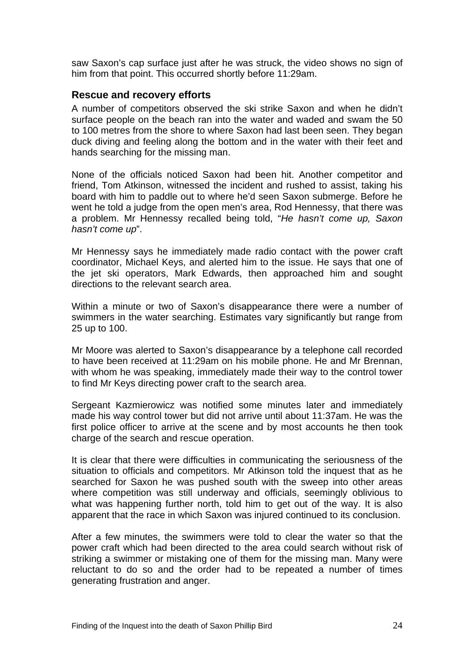<span id="page-25-0"></span>saw Saxon's cap surface just after he was struck, the video shows no sign of him from that point. This occurred shortly before 11:29am.

#### **Rescue and recovery efforts**

A number of competitors observed the ski strike Saxon and when he didn't surface people on the beach ran into the water and waded and swam the 50 to 100 metres from the shore to where Saxon had last been seen. They began duck diving and feeling along the bottom and in the water with their feet and hands searching for the missing man.

None of the officials noticed Saxon had been hit. Another competitor and friend, Tom Atkinson, witnessed the incident and rushed to assist, taking his board with him to paddle out to where he'd seen Saxon submerge. Before he went he told a judge from the open men's area, Rod Hennessy, that there was a problem. Mr Hennessy recalled being told, "*He hasn't come up, Saxon hasn't come up*".

Mr Hennessy says he immediately made radio contact with the power craft coordinator, Michael Keys, and alerted him to the issue. He says that one of the jet ski operators, Mark Edwards, then approached him and sought directions to the relevant search area.

Within a minute or two of Saxon's disappearance there were a number of swimmers in the water searching. Estimates vary significantly but range from 25 up to 100.

Mr Moore was alerted to Saxon's disappearance by a telephone call recorded to have been received at 11:29am on his mobile phone. He and Mr Brennan, with whom he was speaking, immediately made their way to the control tower to find Mr Keys directing power craft to the search area.

Sergeant Kazmierowicz was notified some minutes later and immediately made his way control tower but did not arrive until about 11:37am. He was the first police officer to arrive at the scene and by most accounts he then took charge of the search and rescue operation.

It is clear that there were difficulties in communicating the seriousness of the situation to officials and competitors. Mr Atkinson told the inquest that as he searched for Saxon he was pushed south with the sweep into other areas where competition was still underway and officials, seemingly oblivious to what was happening further north, told him to get out of the way. It is also apparent that the race in which Saxon was injured continued to its conclusion.

After a few minutes, the swimmers were told to clear the water so that the power craft which had been directed to the area could search without risk of striking a swimmer or mistaking one of them for the missing man. Many were reluctant to do so and the order had to be repeated a number of times generating frustration and anger.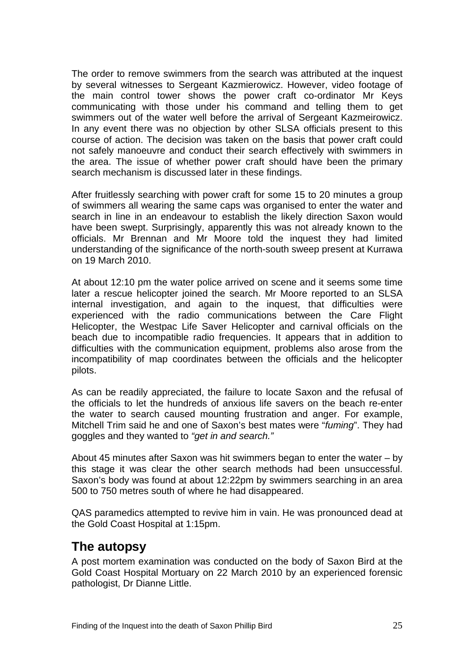<span id="page-26-0"></span>The order to remove swimmers from the search was attributed at the inquest by several witnesses to Sergeant Kazmierowicz. However, video footage of the main control tower shows the power craft co-ordinator Mr Keys communicating with those under his command and telling them to get swimmers out of the water well before the arrival of Sergeant Kazmeirowicz. In any event there was no objection by other SLSA officials present to this course of action. The decision was taken on the basis that power craft could not safely manoeuvre and conduct their search effectively with swimmers in the area. The issue of whether power craft should have been the primary search mechanism is discussed later in these findings.

After fruitlessly searching with power craft for some 15 to 20 minutes a group of swimmers all wearing the same caps was organised to enter the water and search in line in an endeavour to establish the likely direction Saxon would have been swept. Surprisingly, apparently this was not already known to the officials. Mr Brennan and Mr Moore told the inquest they had limited understanding of the significance of the north-south sweep present at Kurrawa on 19 March 2010.

At about 12:10 pm the water police arrived on scene and it seems some time later a rescue helicopter joined the search. Mr Moore reported to an SLSA internal investigation, and again to the inquest, that difficulties were experienced with the radio communications between the Care Flight Helicopter, the Westpac Life Saver Helicopter and carnival officials on the beach due to incompatible radio frequencies. It appears that in addition to difficulties with the communication equipment, problems also arose from the incompatibility of map coordinates between the officials and the helicopter pilots.

As can be readily appreciated, the failure to locate Saxon and the refusal of the officials to let the hundreds of anxious life savers on the beach re-enter the water to search caused mounting frustration and anger. For example, Mitchell Trim said he and one of Saxon's best mates were "*fuming*". They had goggles and they wanted to *"get in and search."*

About 45 minutes after Saxon was hit swimmers began to enter the water – by this stage it was clear the other search methods had been unsuccessful. Saxon's body was found at about 12:22pm by swimmers searching in an area 500 to 750 metres south of where he had disappeared.

QAS paramedics attempted to revive him in vain. He was pronounced dead at the Gold Coast Hospital at 1:15pm.

# **The autopsy**

A post mortem examination was conducted on the body of Saxon Bird at the Gold Coast Hospital Mortuary on 22 March 2010 by an experienced forensic pathologist, Dr Dianne Little.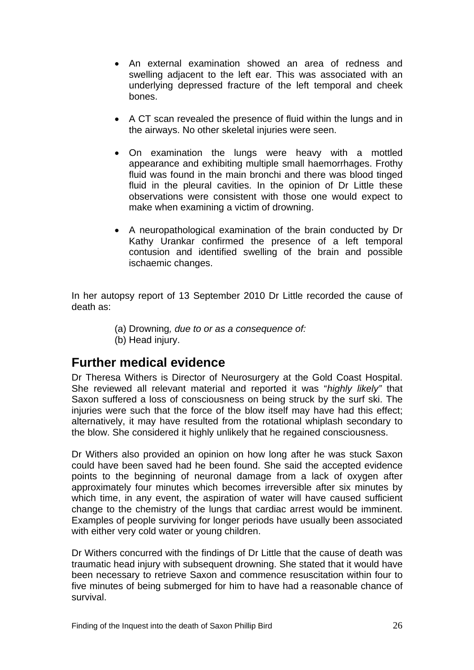- <span id="page-27-0"></span>• An external examination showed an area of redness and swelling adjacent to the left ear. This was associated with an underlying depressed fracture of the left temporal and cheek bones.
- A CT scan revealed the presence of fluid within the lungs and in the airways. No other skeletal injuries were seen.
- On examination the lungs were heavy with a mottled appearance and exhibiting multiple small haemorrhages. Frothy fluid was found in the main bronchi and there was blood tinged fluid in the pleural cavities. In the opinion of Dr Little these observations were consistent with those one would expect to make when examining a victim of drowning.
- A neuropathological examination of the brain conducted by Dr Kathy Urankar confirmed the presence of a left temporal contusion and identified swelling of the brain and possible ischaemic changes.

In her autopsy report of 13 September 2010 Dr Little recorded the cause of death as:

- (a) Drowning*, due to or as a consequence of:*
- (b) Head injury.

# **Further medical evidence**

Dr Theresa Withers is Director of Neurosurgery at the Gold Coast Hospital. She reviewed all relevant material and reported it was "*highly likely"* that Saxon suffered a loss of consciousness on being struck by the surf ski. The injuries were such that the force of the blow itself may have had this effect: alternatively, it may have resulted from the rotational whiplash secondary to the blow. She considered it highly unlikely that he regained consciousness.

Dr Withers also provided an opinion on how long after he was stuck Saxon could have been saved had he been found. She said the accepted evidence points to the beginning of neuronal damage from a lack of oxygen after approximately four minutes which becomes irreversible after six minutes by which time, in any event, the aspiration of water will have caused sufficient change to the chemistry of the lungs that cardiac arrest would be imminent. Examples of people surviving for longer periods have usually been associated with either very cold water or young children.

Dr Withers concurred with the findings of Dr Little that the cause of death was traumatic head injury with subsequent drowning. She stated that it would have been necessary to retrieve Saxon and commence resuscitation within four to five minutes of being submerged for him to have had a reasonable chance of survival.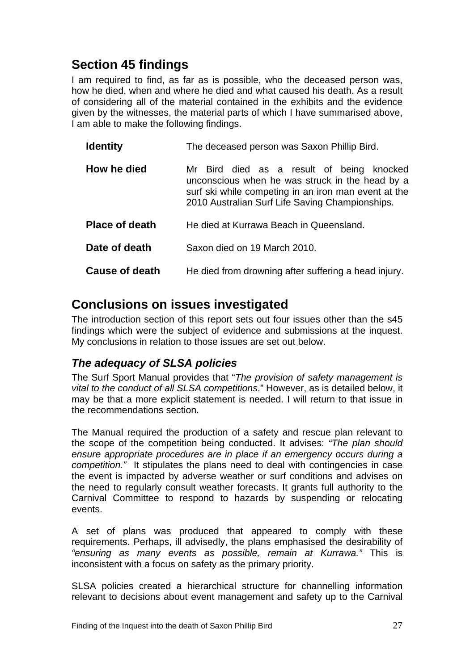# <span id="page-28-0"></span>**Section 45 findings**

I am required to find, as far as is possible, who the deceased person was, how he died, when and where he died and what caused his death. As a result of considering all of the material contained in the exhibits and the evidence given by the witnesses, the material parts of which I have summarised above, I am able to make the following findings.

| <b>Identity</b>       | The deceased person was Saxon Phillip Bird.                                                                                                                                                             |
|-----------------------|---------------------------------------------------------------------------------------------------------------------------------------------------------------------------------------------------------|
| How he died           | Mr Bird died as a result of being knocked<br>unconscious when he was struck in the head by a<br>surf ski while competing in an iron man event at the<br>2010 Australian Surf Life Saving Championships. |
| <b>Place of death</b> | He died at Kurrawa Beach in Queensland.                                                                                                                                                                 |
| Date of death         | Saxon died on 19 March 2010.                                                                                                                                                                            |
| <b>Cause of death</b> | He died from drowning after suffering a head injury.                                                                                                                                                    |

# **Conclusions on issues investigated**

The introduction section of this report sets out four issues other than the s45 findings which were the subject of evidence and submissions at the inquest. My conclusions in relation to those issues are set out below.

# *The adequacy of SLSA policies*

The Surf Sport Manual provides that "*The provision of safety management is vital to the conduct of all SLSA competitions*." However, as is detailed below, it may be that a more explicit statement is needed. I will return to that issue in the recommendations section.

The Manual required the production of a safety and rescue plan relevant to the scope of the competition being conducted. It advises: *"The plan should ensure appropriate procedures are in place if an emergency occurs during a competition."* It stipulates the plans need to deal with contingencies in case the event is impacted by adverse weather or surf conditions and advises on the need to regularly consult weather forecasts. It grants full authority to the Carnival Committee to respond to hazards by suspending or relocating events.

A set of plans was produced that appeared to comply with these requirements. Perhaps, ill advisedly, the plans emphasised the desirability of *"ensuring as many events as possible, remain at Kurrawa."* This is inconsistent with a focus on safety as the primary priority.

SLSA policies created a hierarchical structure for channelling information relevant to decisions about event management and safety up to the Carnival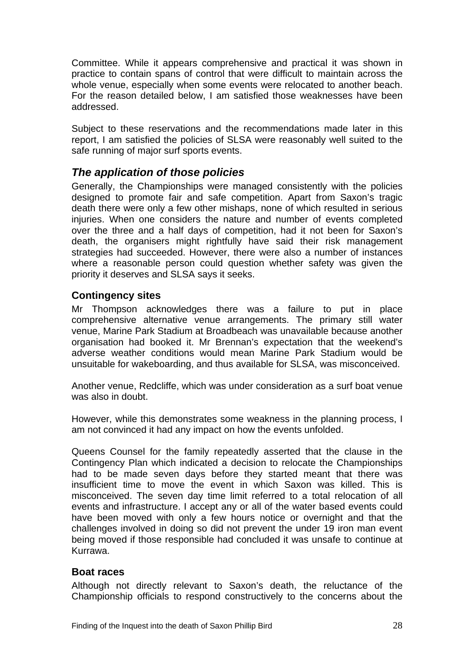<span id="page-29-0"></span>Committee. While it appears comprehensive and practical it was shown in practice to contain spans of control that were difficult to maintain across the whole venue, especially when some events were relocated to another beach. For the reason detailed below, I am satisfied those weaknesses have been addressed.

Subject to these reservations and the recommendations made later in this report, I am satisfied the policies of SLSA were reasonably well suited to the safe running of major surf sports events.

# *The application of those policies*

Generally, the Championships were managed consistently with the policies designed to promote fair and safe competition. Apart from Saxon's tragic death there were only a few other mishaps, none of which resulted in serious injuries. When one considers the nature and number of events completed over the three and a half days of competition, had it not been for Saxon's death, the organisers might rightfully have said their risk management strategies had succeeded. However, there were also a number of instances where a reasonable person could question whether safety was given the priority it deserves and SLSA says it seeks.

### **Contingency sites**

Mr Thompson acknowledges there was a failure to put in place comprehensive alternative venue arrangements. The primary still water venue, Marine Park Stadium at Broadbeach was unavailable because another organisation had booked it. Mr Brennan's expectation that the weekend's adverse weather conditions would mean Marine Park Stadium would be unsuitable for wakeboarding, and thus available for SLSA, was misconceived.

Another venue, Redcliffe, which was under consideration as a surf boat venue was also in doubt.

However, while this demonstrates some weakness in the planning process, I am not convinced it had any impact on how the events unfolded.

Queens Counsel for the family repeatedly asserted that the clause in the Contingency Plan which indicated a decision to relocate the Championships had to be made seven days before they started meant that there was insufficient time to move the event in which Saxon was killed. This is misconceived. The seven day time limit referred to a total relocation of all events and infrastructure. I accept any or all of the water based events could have been moved with only a few hours notice or overnight and that the challenges involved in doing so did not prevent the under 19 iron man event being moved if those responsible had concluded it was unsafe to continue at Kurrawa.

### **Boat races**

Although not directly relevant to Saxon's death, the reluctance of the Championship officials to respond constructively to the concerns about the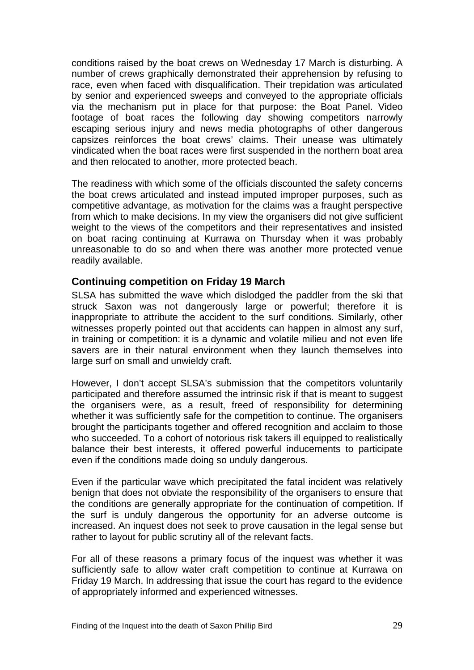<span id="page-30-0"></span>conditions raised by the boat crews on Wednesday 17 March is disturbing. A number of crews graphically demonstrated their apprehension by refusing to race, even when faced with disqualification. Their trepidation was articulated by senior and experienced sweeps and conveyed to the appropriate officials via the mechanism put in place for that purpose: the Boat Panel. Video footage of boat races the following day showing competitors narrowly escaping serious injury and news media photographs of other dangerous capsizes reinforces the boat crews' claims. Their unease was ultimately vindicated when the boat races were first suspended in the northern boat area and then relocated to another, more protected beach.

The readiness with which some of the officials discounted the safety concerns the boat crews articulated and instead imputed improper purposes, such as competitive advantage, as motivation for the claims was a fraught perspective from which to make decisions. In my view the organisers did not give sufficient weight to the views of the competitors and their representatives and insisted on boat racing continuing at Kurrawa on Thursday when it was probably unreasonable to do so and when there was another more protected venue readily available.

#### **Continuing competition on Friday 19 March**

SLSA has submitted the wave which dislodged the paddler from the ski that struck Saxon was not dangerously large or powerful; therefore it is inappropriate to attribute the accident to the surf conditions. Similarly, other witnesses properly pointed out that accidents can happen in almost any surf, in training or competition: it is a dynamic and volatile milieu and not even life savers are in their natural environment when they launch themselves into large surf on small and unwieldy craft.

However, I don't accept SLSA's submission that the competitors voluntarily participated and therefore assumed the intrinsic risk if that is meant to suggest the organisers were, as a result, freed of responsibility for determining whether it was sufficiently safe for the competition to continue. The organisers brought the participants together and offered recognition and acclaim to those who succeeded. To a cohort of notorious risk takers ill equipped to realistically balance their best interests, it offered powerful inducements to participate even if the conditions made doing so unduly dangerous.

Even if the particular wave which precipitated the fatal incident was relatively benign that does not obviate the responsibility of the organisers to ensure that the conditions are generally appropriate for the continuation of competition. If the surf is unduly dangerous the opportunity for an adverse outcome is increased. An inquest does not seek to prove causation in the legal sense but rather to layout for public scrutiny all of the relevant facts.

For all of these reasons a primary focus of the inquest was whether it was sufficiently safe to allow water craft competition to continue at Kurrawa on Friday 19 March. In addressing that issue the court has regard to the evidence of appropriately informed and experienced witnesses.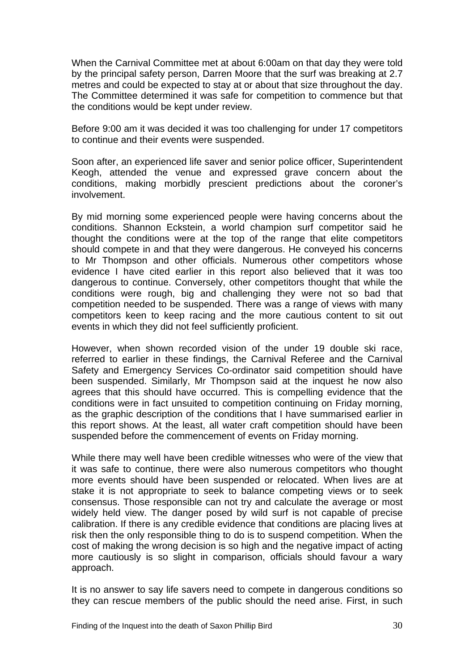When the Carnival Committee met at about 6:00am on that day they were told by the principal safety person, Darren Moore that the surf was breaking at 2.7 metres and could be expected to stay at or about that size throughout the day. The Committee determined it was safe for competition to commence but that the conditions would be kept under review.

Before 9:00 am it was decided it was too challenging for under 17 competitors to continue and their events were suspended.

Soon after, an experienced life saver and senior police officer, Superintendent Keogh, attended the venue and expressed grave concern about the conditions, making morbidly prescient predictions about the coroner's involvement.

By mid morning some experienced people were having concerns about the conditions. Shannon Eckstein, a world champion surf competitor said he thought the conditions were at the top of the range that elite competitors should compete in and that they were dangerous. He conveyed his concerns to Mr Thompson and other officials. Numerous other competitors whose evidence I have cited earlier in this report also believed that it was too dangerous to continue. Conversely, other competitors thought that while the conditions were rough, big and challenging they were not so bad that competition needed to be suspended. There was a range of views with many competitors keen to keep racing and the more cautious content to sit out events in which they did not feel sufficiently proficient.

However, when shown recorded vision of the under 19 double ski race, referred to earlier in these findings, the Carnival Referee and the Carnival Safety and Emergency Services Co-ordinator said competition should have been suspended. Similarly, Mr Thompson said at the inquest he now also agrees that this should have occurred. This is compelling evidence that the conditions were in fact unsuited to competition continuing on Friday morning, as the graphic description of the conditions that I have summarised earlier in this report shows. At the least, all water craft competition should have been suspended before the commencement of events on Friday morning.

While there may well have been credible witnesses who were of the view that it was safe to continue, there were also numerous competitors who thought more events should have been suspended or relocated. When lives are at stake it is not appropriate to seek to balance competing views or to seek consensus. Those responsible can not try and calculate the average or most widely held view. The danger posed by wild surf is not capable of precise calibration. If there is any credible evidence that conditions are placing lives at risk then the only responsible thing to do is to suspend competition. When the cost of making the wrong decision is so high and the negative impact of acting more cautiously is so slight in comparison, officials should favour a wary approach.

It is no answer to say life savers need to compete in dangerous conditions so they can rescue members of the public should the need arise. First, in such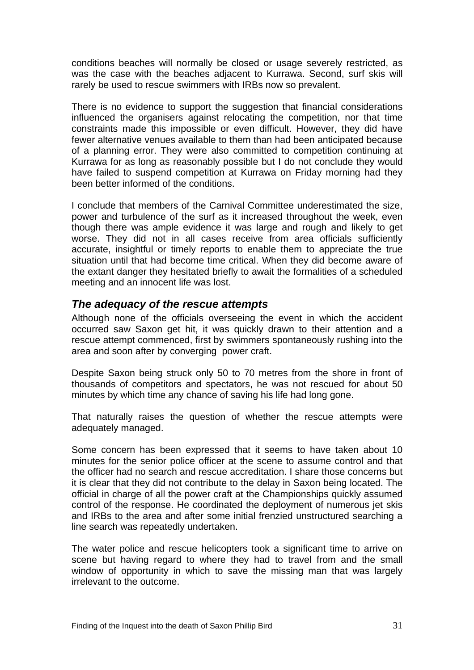<span id="page-32-0"></span>conditions beaches will normally be closed or usage severely restricted, as was the case with the beaches adjacent to Kurrawa. Second, surf skis will rarely be used to rescue swimmers with IRBs now so prevalent.

There is no evidence to support the suggestion that financial considerations influenced the organisers against relocating the competition, nor that time constraints made this impossible or even difficult. However, they did have fewer alternative venues available to them than had been anticipated because of a planning error. They were also committed to competition continuing at Kurrawa for as long as reasonably possible but I do not conclude they would have failed to suspend competition at Kurrawa on Friday morning had they been better informed of the conditions.

I conclude that members of the Carnival Committee underestimated the size, power and turbulence of the surf as it increased throughout the week, even though there was ample evidence it was large and rough and likely to get worse. They did not in all cases receive from area officials sufficiently accurate, insightful or timely reports to enable them to appreciate the true situation until that had become time critical. When they did become aware of the extant danger they hesitated briefly to await the formalities of a scheduled meeting and an innocent life was lost.

## *The adequacy of the rescue attempts*

Although none of the officials overseeing the event in which the accident occurred saw Saxon get hit, it was quickly drawn to their attention and a rescue attempt commenced, first by swimmers spontaneously rushing into the area and soon after by converging power craft.

Despite Saxon being struck only 50 to 70 metres from the shore in front of thousands of competitors and spectators, he was not rescued for about 50 minutes by which time any chance of saving his life had long gone.

That naturally raises the question of whether the rescue attempts were adequately managed.

Some concern has been expressed that it seems to have taken about 10 minutes for the senior police officer at the scene to assume control and that the officer had no search and rescue accreditation. I share those concerns but it is clear that they did not contribute to the delay in Saxon being located. The official in charge of all the power craft at the Championships quickly assumed control of the response. He coordinated the deployment of numerous jet skis and IRBs to the area and after some initial frenzied unstructured searching a line search was repeatedly undertaken.

The water police and rescue helicopters took a significant time to arrive on scene but having regard to where they had to travel from and the small window of opportunity in which to save the missing man that was largely irrelevant to the outcome.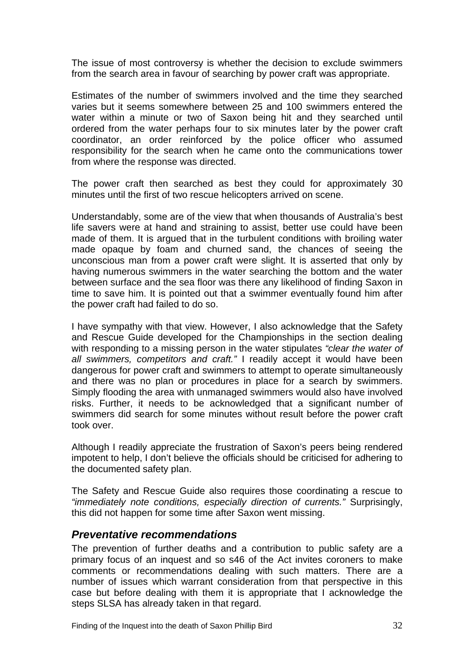<span id="page-33-0"></span>The issue of most controversy is whether the decision to exclude swimmers from the search area in favour of searching by power craft was appropriate.

Estimates of the number of swimmers involved and the time they searched varies but it seems somewhere between 25 and 100 swimmers entered the water within a minute or two of Saxon being hit and they searched until ordered from the water perhaps four to six minutes later by the power craft coordinator, an order reinforced by the police officer who assumed responsibility for the search when he came onto the communications tower from where the response was directed.

The power craft then searched as best they could for approximately 30 minutes until the first of two rescue helicopters arrived on scene.

Understandably, some are of the view that when thousands of Australia's best life savers were at hand and straining to assist, better use could have been made of them. It is argued that in the turbulent conditions with broiling water made opaque by foam and churned sand, the chances of seeing the unconscious man from a power craft were slight. It is asserted that only by having numerous swimmers in the water searching the bottom and the water between surface and the sea floor was there any likelihood of finding Saxon in time to save him. It is pointed out that a swimmer eventually found him after the power craft had failed to do so.

I have sympathy with that view. However, I also acknowledge that the Safety and Rescue Guide developed for the Championships in the section dealing with responding to a missing person in the water stipulates *"clear the water of all swimmers, competitors and craft."* I readily accept it would have been dangerous for power craft and swimmers to attempt to operate simultaneously and there was no plan or procedures in place for a search by swimmers. Simply flooding the area with unmanaged swimmers would also have involved risks. Further, it needs to be acknowledged that a significant number of swimmers did search for some minutes without result before the power craft took over.

Although I readily appreciate the frustration of Saxon's peers being rendered impotent to help, I don't believe the officials should be criticised for adhering to the documented safety plan.

The Safety and Rescue Guide also requires those coordinating a rescue to *"immediately note conditions, especially direction of currents."* Surprisingly, this did not happen for some time after Saxon went missing.

#### *Preventative recommendations*

The prevention of further deaths and a contribution to public safety are a primary focus of an inquest and so s46 of the Act invites coroners to make comments or recommendations dealing with such matters. There are a number of issues which warrant consideration from that perspective in this case but before dealing with them it is appropriate that I acknowledge the steps SLSA has already taken in that regard.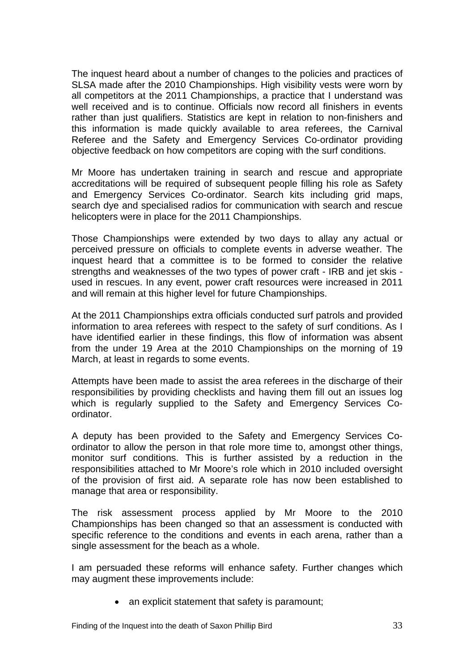The inquest heard about a number of changes to the policies and practices of SLSA made after the 2010 Championships. High visibility vests were worn by all competitors at the 2011 Championships, a practice that I understand was well received and is to continue. Officials now record all finishers in events rather than just qualifiers. Statistics are kept in relation to non-finishers and this information is made quickly available to area referees, the Carnival Referee and the Safety and Emergency Services Co-ordinator providing objective feedback on how competitors are coping with the surf conditions.

Mr Moore has undertaken training in search and rescue and appropriate accreditations will be required of subsequent people filling his role as Safety and Emergency Services Co-ordinator. Search kits including grid maps, search dye and specialised radios for communication with search and rescue helicopters were in place for the 2011 Championships.

Those Championships were extended by two days to allay any actual or perceived pressure on officials to complete events in adverse weather. The inquest heard that a committee is to be formed to consider the relative strengths and weaknesses of the two types of power craft - IRB and jet skis used in rescues. In any event, power craft resources were increased in 2011 and will remain at this higher level for future Championships.

At the 2011 Championships extra officials conducted surf patrols and provided information to area referees with respect to the safety of surf conditions. As I have identified earlier in these findings, this flow of information was absent from the under 19 Area at the 2010 Championships on the morning of 19 March, at least in regards to some events.

Attempts have been made to assist the area referees in the discharge of their responsibilities by providing checklists and having them fill out an issues log which is regularly supplied to the Safety and Emergency Services Coordinator.

A deputy has been provided to the Safety and Emergency Services Coordinator to allow the person in that role more time to, amongst other things, monitor surf conditions. This is further assisted by a reduction in the responsibilities attached to Mr Moore's role which in 2010 included oversight of the provision of first aid. A separate role has now been established to manage that area or responsibility.

The risk assessment process applied by Mr Moore to the 2010 Championships has been changed so that an assessment is conducted with specific reference to the conditions and events in each arena, rather than a single assessment for the beach as a whole.

I am persuaded these reforms will enhance safety. Further changes which may augment these improvements include:

• an explicit statement that safety is paramount;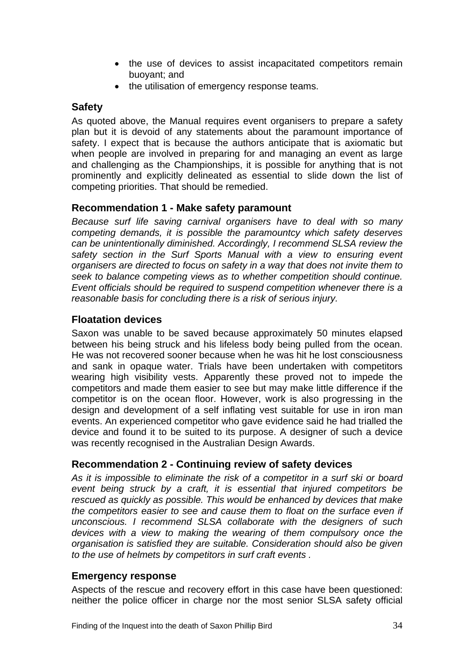- the use of devices to assist incapacitated competitors remain buoyant; and
- the utilisation of emergency response teams.

### <span id="page-35-0"></span>**Safety**

As quoted above, the Manual requires event organisers to prepare a safety plan but it is devoid of any statements about the paramount importance of safety. I expect that is because the authors anticipate that is axiomatic but when people are involved in preparing for and managing an event as large and challenging as the Championships, it is possible for anything that is not prominently and explicitly delineated as essential to slide down the list of competing priorities. That should be remedied.

### **Recommendation 1 - Make safety paramount**

*Because surf life saving carnival organisers have to deal with so many competing demands, it is possible the paramountcy which safety deserves can be unintentionally diminished. Accordingly, I recommend SLSA review the safety section in the Surf Sports Manual with a view to ensuring event organisers are directed to focus on safety in a way that does not invite them to seek to balance competing views as to whether competition should continue. Event officials should be required to suspend competition whenever there is a reasonable basis for concluding there is a risk of serious injury.* 

### **Floatation devices**

Saxon was unable to be saved because approximately 50 minutes elapsed between his being struck and his lifeless body being pulled from the ocean. He was not recovered sooner because when he was hit he lost consciousness and sank in opaque water. Trials have been undertaken with competitors wearing high visibility vests. Apparently these proved not to impede the competitors and made them easier to see but may make little difference if the competitor is on the ocean floor. However, work is also progressing in the design and development of a self inflating vest suitable for use in iron man events. An experienced competitor who gave evidence said he had trialled the device and found it to be suited to its purpose. A designer of such a device was recently recognised in the Australian Design Awards.

## **Recommendation 2 - Continuing review of safety devices**

*As it is impossible to eliminate the risk of a competitor in a surf ski or board event being struck by a craft, it is essential that injured competitors be rescued as quickly as possible. This would be enhanced by devices that make the competitors easier to see and cause them to float on the surface even if unconscious. I recommend SLSA collaborate with the designers of such devices with a view to making the wearing of them compulsory once the organisation is satisfied they are suitable. Consideration should also be given to the use of helmets by competitors in surf craft events .* 

### **Emergency response**

Aspects of the rescue and recovery effort in this case have been questioned: neither the police officer in charge nor the most senior SLSA safety official